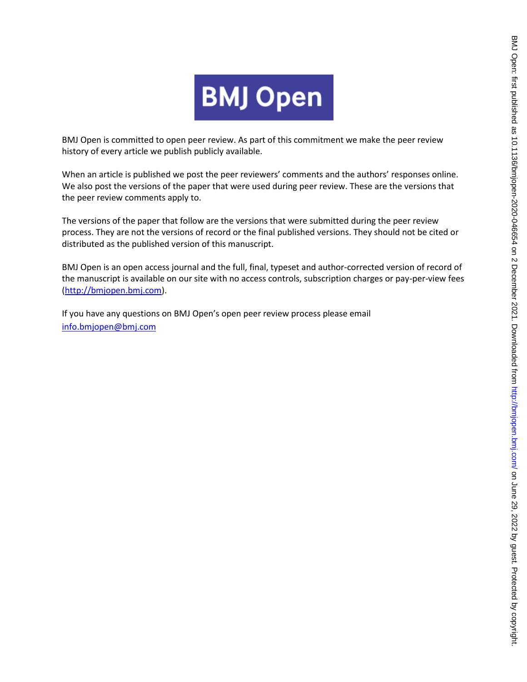

BMJ Open is committed to open peer review. As part of this commitment we make the peer review history of every article we publish publicly available.

When an article is published we post the peer reviewers' comments and the authors' responses online. We also post the versions of the paper that were used during peer review. These are the versions that the peer review comments apply to.

The versions of the paper that follow are the versions that were submitted during the peer review process. They are not the versions of record or the final published versions. They should not be cited or distributed as the published version of this manuscript.

BMJ Open is an open access journal and the full, final, typeset and author-corrected version of record of the manuscript is available on our site with no access controls, subscription charges or pay-per-view fees [\(http://bmjopen.bmj.com\)](http://bmjopen.bmj.com/).

If you have any questions on BMJ Open's open peer review process please email <info.bmjopen@bmj.com>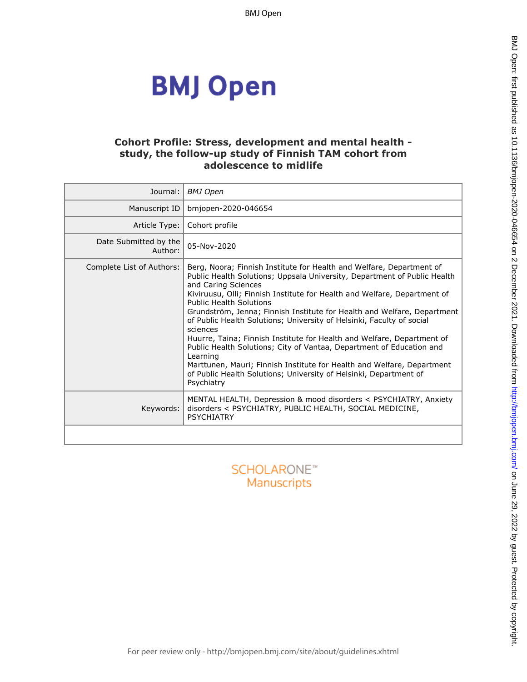# **BMJ Open**

## **Cohort Profile: Stress, development and mental health study, the follow-up study of Finnish TAM cohort from adolescence to midlife**

| Journal:                         | <b>BMJ</b> Open                                                                                                                                                                                                                                                                                                                                                                                                                                                                                                                                                                                                                                                                                                                                                                  |
|----------------------------------|----------------------------------------------------------------------------------------------------------------------------------------------------------------------------------------------------------------------------------------------------------------------------------------------------------------------------------------------------------------------------------------------------------------------------------------------------------------------------------------------------------------------------------------------------------------------------------------------------------------------------------------------------------------------------------------------------------------------------------------------------------------------------------|
| Manuscript ID                    | bmjopen-2020-046654                                                                                                                                                                                                                                                                                                                                                                                                                                                                                                                                                                                                                                                                                                                                                              |
| Article Type:                    | Cohort profile                                                                                                                                                                                                                                                                                                                                                                                                                                                                                                                                                                                                                                                                                                                                                                   |
| Date Submitted by the<br>Author: | 05-Nov-2020                                                                                                                                                                                                                                                                                                                                                                                                                                                                                                                                                                                                                                                                                                                                                                      |
| Complete List of Authors:        | Berg, Noora; Finnish Institute for Health and Welfare, Department of<br>Public Health Solutions; Uppsala University, Department of Public Health<br>and Caring Sciences<br>Kiviruusu, Olli; Finnish Institute for Health and Welfare, Department of<br><b>Public Health Solutions</b><br>Grundström, Jenna; Finnish Institute for Health and Welfare, Department<br>of Public Health Solutions; University of Helsinki, Faculty of social<br>sciences<br>Huurre, Taina; Finnish Institute for Health and Welfare, Department of<br>Public Health Solutions; City of Vantaa, Department of Education and<br>Learning<br>Marttunen, Mauri; Finnish Institute for Health and Welfare, Department<br>of Public Health Solutions; University of Helsinki, Department of<br>Psychiatry |
| Keywords:                        | MENTAL HEALTH, Depression & mood disorders < PSYCHIATRY, Anxiety<br>disorders < PSYCHIATRY, PUBLIC HEALTH, SOCIAL MEDICINE,<br><b>PSYCHIATRY</b>                                                                                                                                                                                                                                                                                                                                                                                                                                                                                                                                                                                                                                 |
|                                  |                                                                                                                                                                                                                                                                                                                                                                                                                                                                                                                                                                                                                                                                                                                                                                                  |
|                                  | SCHOLARONE"<br>Manuccrinte                                                                                                                                                                                                                                                                                                                                                                                                                                                                                                                                                                                                                                                                                                                                                       |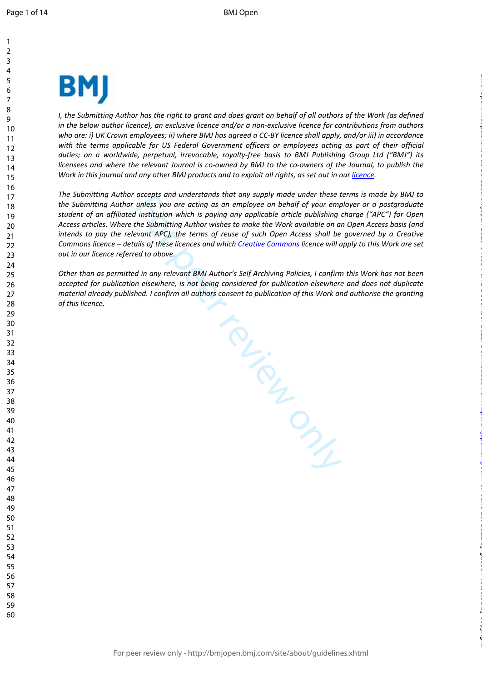$\mathbf{1}$ 

 



*I*, the Submitting Author has the right to grant and does grant on behalf of all authors of the Work (as defined *in the below author licence), an exclusive licence and/or a non-exclusive licence for contributions from authors who are: i) UK Crown employees; ii) where BMJ has agreed a CC-BY licence shall apply, and/or iii) in accordance with the terms applicable for US Federal Government officers or employees acting as part of their official duties; on a worldwide, perpetual, irrevocable, royalty-free basis to BMJ Publishing Group Ltd ("BMJ") its licensees and where the relevant Journal is co-owned by BMJ to the co-owners of the Journal, to publish the*  Work in this journal and any other BMJ products and to exploit all rights, as set out in our *[licence](https://authors.bmj.com/wp-content/uploads/2018/11/BMJ_Journals_Combined_Author_Licence_2018.pdf)*.

*The Submitting Author accepts and understands that any supply made under these terms is made by BMJ to the Submitting Author unless you are acting as an employee on behalf of your employer or a postgraduate student of an affiliated institution which is paying any applicable article publishing charge ("APC") for Open Access articles. Where the Submitting Author wishes to make the Work available on an Open Access basis (and intends to pay the relevant APC), the terms of reuse of such Open Access shall be governed by a Creative Commons licence – details of these licences and which Creative Commons licence will apply to this Work are set out in our licence referred to above.* 

*Other than as permitted in any relevant BMJ Author's Self Archiving Policies, I confirm this Work has not been accepted for publication elsewhere, is not being considered for publication elsewhere and does not duplicate material already published. I confirm all authors consent to publication of this Work and authorise the granting of this licence.*

For Prince

on June 29, 2022 by guest. Protected by copyright. <http://bmjopen.bmj.com/> BMJ Open: first published as 10.1136/bmjopen-2020-046654 on 2 December 2021. Downloaded from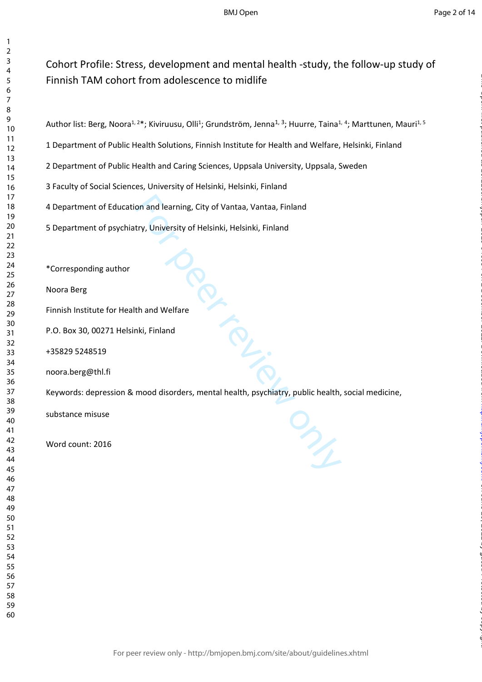# Cohort Profile: Stress, development and mental health -study, the follow-up study of Finnish TAM cohort from adolescence to midlife

1 Department of Public Health Solutions, Finnish Institute for Health and Welfare, Helsinki, Finland

2 Department of Public Health and Caring Sciences, Uppsala University, Uppsala, Sweden

3 Faculty of Social Sciences, University of Helsinki, Helsinki, Finland

4 Department of Education and learning, City of Vantaa, Vantaa, Finland

5 Department of psychiatry, University of Helsinki, Helsinki, Finland

\*Corresponding author

Noora Berg

 $\mathbf{1}$  $\overline{2}$  $\overline{4}$  $\overline{7}$ 

Finnish Institute for Health and Welfare

P.O. Box 30, 00271 Helsinki, Finland

+35829 5248519

noora.berg@thl.fi

Keywords: depression & mood disorders, mental health, psychiatry, public health, social medicine,

substance misuse

Word count: 2016

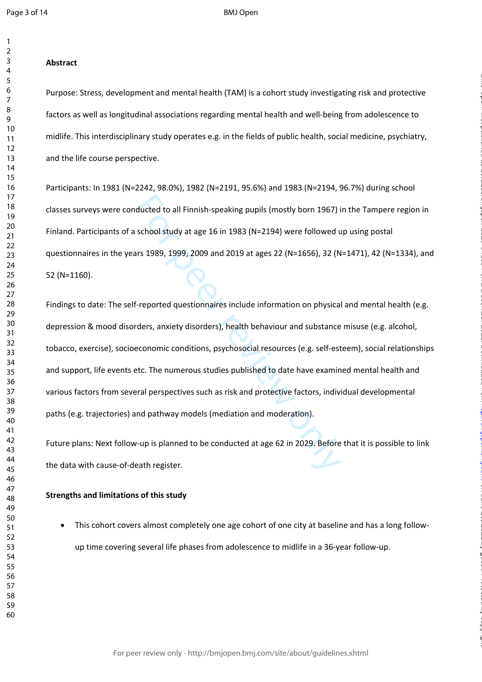$\mathbf{1}$  $\overline{2}$ 

#### **Abstract**

Purpose: Stress, development and mental health (TAM) is a cohort study investigating risk and protective factors as well as longitudinal associations regarding mental health and well-being from adolescence to midlife. This interdisciplinary study operates e.g. in the fields of public health, social medicine, psychiatry, and the life course perspective.

Participants: In 1981 (N=2242, 98.0%), 1982 (N=2191, 95.6%) and 1983 (N=2194, 96.7%) during school classes surveys were conducted to all Finnish-speaking pupils (mostly born 1967) in the Tampere region in Finland. Participants of a school study at age 16 in 1983 (N=2194) were followed up using postal questionnaires in the years 1989, 1999, 2009 and 2019 at ages 22 (N=1656), 32 (N=1471), 42 (N=1334), and 52 (N=1160).

ducted to all Finnish-speaking pupils (mostly born 1967) i<br>school study at age 16 in 1983 (N=2194) were followed u<br>ars 1989, 1999, 2009 and 2019 at ages 22 (N=1656), 32 (N<br>f-reported questionnaires include information on p Findings to date: The self-reported questionnaires include information on physical and mental health (e.g. depression & mood disorders, anxiety disorders), health behaviour and substance misuse (e.g. alcohol, tobacco, exercise), socioeconomic conditions, psychosocial resources (e.g. self-esteem), social relationships and support, life events etc. The numerous studies published to date have examined mental health and various factors from several perspectives such as risk and protective factors, individual developmental paths (e.g. trajectories) and pathway models (mediation and moderation).

on June 29, 2022 by guest. Protected by copyright. <http://bmjopen.bmj.com/> BMJ Open: first published as 10.1136/bmjopen-2020-046654 on 2 December 2021. Downloaded from

Future plans: Next follow-up is planned to be conducted at age 62 in 2029. Before that it is possible to link the data with cause-of-death register.

#### **Strengths and limitations of this study**

 This cohort covers almost completely one age cohort of one city at baseline and has a long followup time covering several life phases from adolescence to midlife in a 36-year follow-up.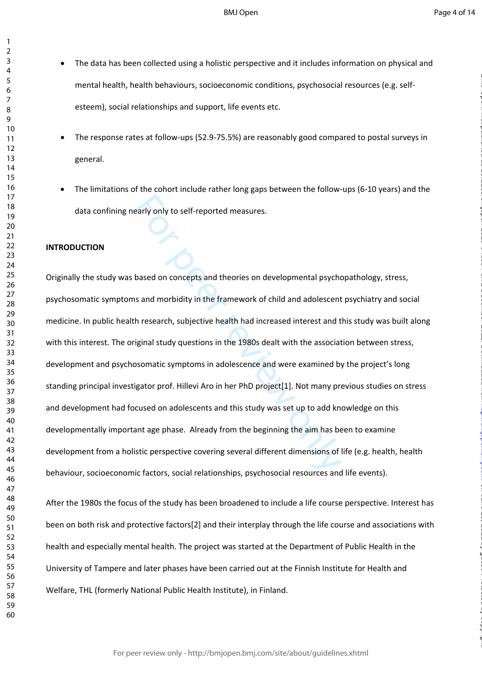- $\bullet$ The data has been collected using a holistic perspective and it includes information on physical and mental health, health behaviours, socioeconomic conditions, psychosocial resources (e.g. selfesteem), social relationships and support, life events etc.
	- The response rates at follow-ups (52.9-75.5%) are reasonably good compared to postal surveys in general.
- The limitations of the cohort include rather long gaps between the follow-ups (6-10 years) and the data confining nearly only to self-reported measures.

#### **INTRODUCTION**

early only to self-reported measures.<br>
based on concepts and theories on developmental psychds<br>
and morbidity in the framework of child and adolescent<br>
h research, subjective health had increased interest and t<br>
iginal stu Originally the study was based on concepts and theories on developmental psychopathology, stress, psychosomatic symptoms and morbidity in the framework of child and adolescent psychiatry and social medicine. In public health research, subjective health had increased interest and this study was built along with this interest. The original study questions in the 1980s dealt with the association between stress, development and psychosomatic symptoms in adolescence and were examined by the project's long standing principal investigator prof. Hillevi Aro in her PhD project[1]. Not many previous studies on stress and development had focused on adolescents and this study was set up to add knowledge on this developmentally important age phase. Already from the beginning the aim has been to examine development from a holistic perspective covering several different dimensions of life (e.g. health, health behaviour, socioeconomic factors, social relationships, psychosocial resources and life events).

After the 1980s the focus of the study has been broadened to include a life course perspective. Interest has been on both risk and protective factors[2] and their interplay through the life course and associations with health and especially mental health. The project was started at the Department of Public Health in the University of Tampere and later phases have been carried out at the Finnish Institute for Health and Welfare, THL (formerly National Public Health Institute), in Finland.

 $\mathbf{1}$  $\overline{2}$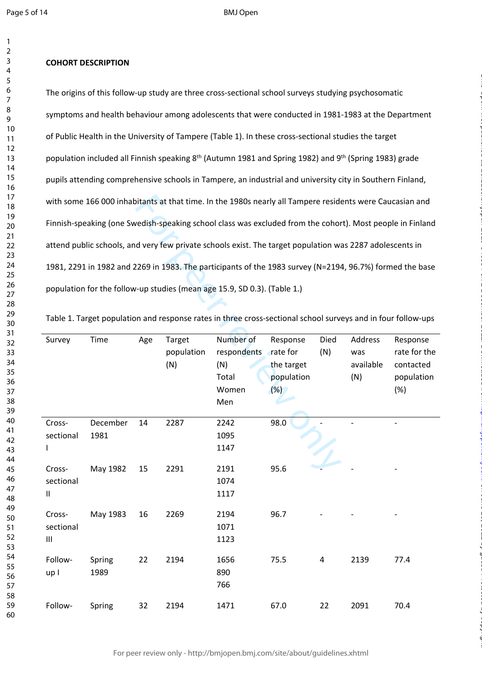123456789

 $\mathbf{1}$  $\overline{2}$ 3  $\overline{4}$ 5 6  $\overline{7}$ 8 9

#### **COHORT DESCRIPTION**

The origins of this follow-up study are three cross-sectional school surveys studying psychosomatic symptoms and health behaviour among adolescents that were conducted in 1981-1983 at the Department of Public Health in the University of Tampere (Table 1). In these cross-sectional studies the target population included all Finnish speaking 8<sup>th</sup> (Autumn 1981 and Spring 1982) and 9<sup>th</sup> (Spring 1983) grade pupils attending comprehensive schools in Tampere, an industrial and university city in Southern Finland, with some 166 000 inhabitants at that time. In the 1980s nearly all Tampere residents were Caucasian and Finnish-speaking (one Swedish-speaking school class was excluded from the cohort). Most people in Finland attend public schools, and very few private schools exist. The target population was 2287 adolescents in 1981, 2291 in 1982 and 2269 in 1983. The participants of the 1983 survey (N=2194, 96.7%) formed the base population for the follow-up studies (mean age 15.9, SD 0.3). (Table 1.)

|                                    |          |     |            | with some 166 000 inhabitants at that time. In the 1980s nearly all Tampere residents were Caucasian and     |            |           |           |              |
|------------------------------------|----------|-----|------------|--------------------------------------------------------------------------------------------------------------|------------|-----------|-----------|--------------|
|                                    |          |     |            | Finnish-speaking (one Swedish-speaking school class was excluded from the cohort). Most people in Finland    |            |           |           |              |
|                                    |          |     |            | attend public schools, and very few private schools exist. The target population was 2287 adolescents in     |            |           |           |              |
|                                    |          |     |            | 1981, 2291 in 1982 and 2269 in 1983. The participants of the 1983 survey (N=2194, 96.7%) formed the base     |            |           |           |              |
|                                    |          |     |            | population for the follow-up studies (mean age 15.9, SD 0.3). (Table 1.)                                     |            |           |           |              |
|                                    |          |     |            | Table 1. Target population and response rates in three cross-sectional school surveys and in four follow-ups |            |           |           |              |
|                                    |          |     |            |                                                                                                              |            |           |           |              |
| Survey                             | Time     | Age | Target     | Number of                                                                                                    | Response   | Died      | Address   | Response     |
|                                    |          |     | population | respondents rate for                                                                                         |            | (N)       | was       | rate for the |
|                                    |          |     | (N)        | (N)                                                                                                          | the target |           | available | contacted    |
|                                    |          |     |            | Total                                                                                                        | population |           | (N)       | population   |
|                                    |          |     |            | Women<br>Men                                                                                                 | (%)        |           |           | (%)          |
|                                    |          |     |            |                                                                                                              |            |           |           |              |
| Cross-                             | December | 14  | 2287       | 2242                                                                                                         | 98.0       |           |           |              |
| sectional                          | 1981     |     |            | 1095                                                                                                         |            |           |           |              |
|                                    |          |     |            | 1147                                                                                                         |            |           |           |              |
| Cross-                             | May 1982 | 15  | 2291       | 2191                                                                                                         | 95.6       |           |           |              |
| sectional                          |          |     |            | 1074                                                                                                         |            |           |           |              |
| $\sf II$                           |          |     |            | 1117                                                                                                         |            |           |           |              |
| Cross-                             | May 1983 | 16  | 2269       | 2194                                                                                                         | 96.7       |           |           |              |
| sectional                          |          |     |            | 1071                                                                                                         |            |           |           |              |
| $\ensuremath{\mathsf{III}}\xspace$ |          |     |            | 1123                                                                                                         |            |           |           |              |
| Follow-                            | Spring   | 22  | 2194       | 1656                                                                                                         | 75.5       | $\pmb{4}$ | 2139      | 77.4         |
| up I                               | 1989     |     |            | 890                                                                                                          |            |           |           |              |
|                                    |          |     |            | 766                                                                                                          |            |           |           |              |
| Follow-                            | Spring   | 32  | 2194       | 1471                                                                                                         | 67.0       | 22        | 2091      | 70.4         |

Table 1. Target population and response rates in three cross-sectional school surveys and in four follow-ups

on June 29, 2022 by guest. Protected by copyright. <http://bmjopen.bmj.com/> BMJ Open: first published as 10.1136/bmjopen-2020-046654 on 2 December 2021. Downloaded from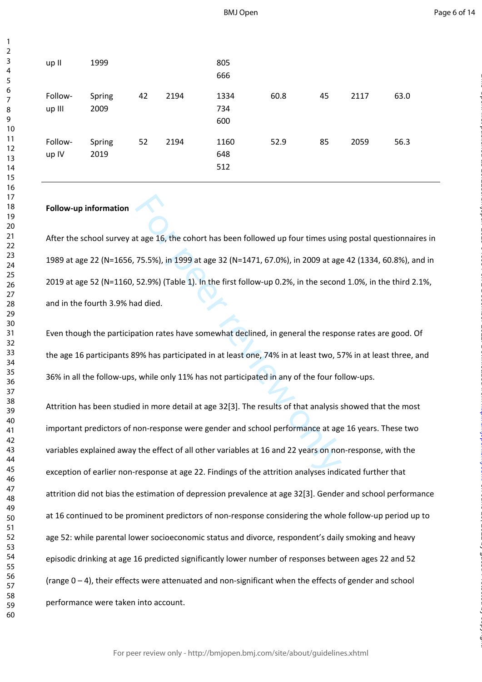| up II             | 1999           |    |      | 805<br>666         |      |    |      |      |
|-------------------|----------------|----|------|--------------------|------|----|------|------|
| Follow-<br>up III | Spring<br>2009 | 42 | 2194 | 1334<br>734<br>600 | 60.8 | 45 | 2117 | 63.0 |
| Follow-<br>up IV  | Spring<br>2019 | 52 | 2194 | 1160<br>648<br>512 | 52.9 | 85 | 2059 | 56.3 |

#### **Follow-up information**

After the school survey at age 16, the cohort has been followed up four times using postal questionnaires in 1989 at age 22 (N=1656, 75.5%), in 1999 at age 32 (N=1471, 67.0%), in 2009 at age 42 (1334, 60.8%), and in 2019 at age 52 (N=1160, 52.9%) (Table 1). In the first follow-up 0.2%, in the second 1.0%, in the third 2.1%, and in the fourth 3.9% had died.

Even though the participation rates have somewhat declined, in general the response rates are good. Of the age 16 participants 89% has participated in at least one, 74% in at least two, 57% in at least three, and 36% in all the follow-ups, while only 11% has not participated in any of the four follow-ups.

t age 16, the cohort has been followed up four times usin<br>75.5%), in 1999 at age 32 (N=1471, 67.0%), in 2009 at age<br>52.9%) (Table 1). In the first follow-up 0.2%, in the second<br>ad died.<br>ation rates have somewhat declined, Attrition has been studied in more detail at age 32[3]. The results of that analysis showed that the most important predictors of non-response were gender and school performance at age 16 years. These two variables explained away the effect of all other variables at 16 and 22 years on non-response, with the exception of earlier non-response at age 22. Findings of the attrition analyses indicated further that attrition did not bias the estimation of depression prevalence at age 32[3]. Gender and school performance at 16 continued to be prominent predictors of non-response considering the whole follow-up period up to age 52: while parental lower socioeconomic status and divorce, respondent's daily smoking and heavy episodic drinking at age 16 predicted significantly lower number of responses between ages 22 and 52 (range 0 – 4), their effects were attenuated and non-significant when the effects of gender and school performance were taken into account.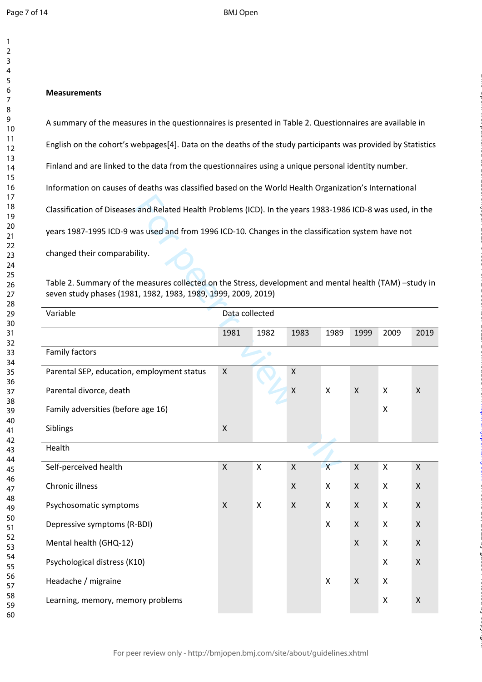123456789

 $\mathbf{1}$  $\overline{2}$ 3  $\overline{4}$ 5 6  $\overline{7}$ 8 9

#### **Measurements**

A summary of the measures in the questionnaires is presented in Table 2. Questionnaires are available in English on the cohort's webpages[4]. Data on the deaths of the study participants was provided by Statistics Finland and are linked to the data from the questionnaires using a unique personal identity number. Information on causes of deaths was classified based on the World Health Organization's International Classification of Diseases and Related Health Problems (ICD). In the years 1983-1986 ICD-8 was used, in the years 1987-1995 ICD-9 was used and from 1996 ICD-10. Changes in the classification system have not

on June 29, 2022 by guest. Protected by copyright. <http://bmjopen.bmj.com/> BMJ Open: first published as 10.1136/bmjopen-2020-046654 on 2 December 2021. Downloaded from

| Classification of Diseases and Related Health Problems (ICD). In the years 1983-1986 ICD-8 was used, in the                                                              |                |                           |                    |                         |                    |                |                    |
|--------------------------------------------------------------------------------------------------------------------------------------------------------------------------|----------------|---------------------------|--------------------|-------------------------|--------------------|----------------|--------------------|
| years 1987-1995 ICD-9 was used and from 1996 ICD-10. Changes in the classification system have not                                                                       |                |                           |                    |                         |                    |                |                    |
| changed their comparability.                                                                                                                                             |                |                           |                    |                         |                    |                |                    |
| Table 2. Summary of the measures collected on the Stress, development and mental health (TAM) -study in<br>seven study phases (1981, 1982, 1983, 1989, 1999, 2009, 2019) |                |                           |                    |                         |                    |                |                    |
| Variable                                                                                                                                                                 | Data collected |                           |                    |                         |                    |                |                    |
|                                                                                                                                                                          | 1981           | 1982                      | 1983               | 1989                    | 1999               | 2009           | 2019               |
| <b>Family factors</b>                                                                                                                                                    |                | ۰                         |                    |                         |                    |                |                    |
| Parental SEP, education, employment status                                                                                                                               | $\pmb{\times}$ |                           | $\pmb{\mathsf{X}}$ |                         |                    |                |                    |
| Parental divorce, death                                                                                                                                                  |                |                           | $\pmb{\mathsf{X}}$ | X                       | $\pmb{\mathsf{X}}$ | X              | X                  |
| Family adversities (before age 16)                                                                                                                                       |                |                           |                    |                         |                    | X              |                    |
| Siblings                                                                                                                                                                 | $\mathsf{x}$   |                           |                    |                         |                    |                |                    |
| Health                                                                                                                                                                   |                |                           |                    |                         |                    |                |                    |
| Self-perceived health                                                                                                                                                    | $\mathsf{X}$   | $\boldsymbol{\mathsf{X}}$ | X                  | $\overline{\mathsf{x}}$ | $\pmb{\chi}$       | X              | X                  |
| Chronic illness                                                                                                                                                          |                |                           | $\pmb{\mathsf{X}}$ | X                       | X                  | $\pmb{\times}$ | $\pmb{\mathsf{X}}$ |
| Psychosomatic symptoms                                                                                                                                                   | X              | X                         | X                  | X                       | X                  | X              | X                  |
| Depressive symptoms (R-BDI)                                                                                                                                              |                |                           |                    | X                       | X                  | $\pmb{\times}$ | X                  |
| Mental health (GHQ-12)                                                                                                                                                   |                |                           |                    |                         | $\mathsf{X}$       | X              | X                  |
| Psychological distress (K10)                                                                                                                                             |                |                           |                    |                         |                    | X              | $\pmb{\mathsf{X}}$ |
| Headache / migraine                                                                                                                                                      |                |                           |                    | X                       | $\pmb{\mathsf{X}}$ | X              |                    |
| Learning, memory, memory problems                                                                                                                                        |                |                           |                    |                         |                    | x              | X                  |
|                                                                                                                                                                          |                |                           |                    |                         |                    |                |                    |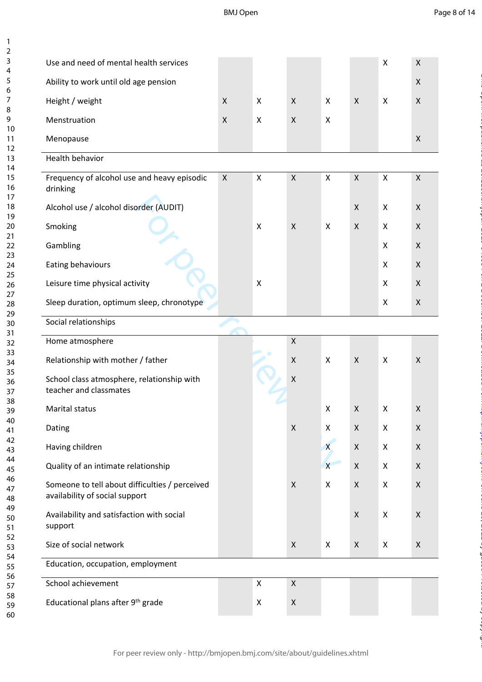BMJ Open

123456789

 $\mathbf{1}$  $\overline{2}$  $\overline{3}$  $\overline{4}$ 5 6  $\overline{7}$ 8  $\overline{9}$ 

on June 29, 2022 by guest. Protected by copyright. <http://bmjopen.bmj.com/> BMJ Open: first published as 10.1136/bmjopen-2020-046654 on 2 December 2021. Downloaded from

| Use and need of mental health services                                           |                    |                           |                           |                           |                    | Χ                         | X                  |
|----------------------------------------------------------------------------------|--------------------|---------------------------|---------------------------|---------------------------|--------------------|---------------------------|--------------------|
| Ability to work until old age pension                                            |                    |                           |                           |                           |                    |                           | $\pmb{\times}$     |
| Height / weight                                                                  | X                  | $\boldsymbol{\mathsf{X}}$ | X                         | X                         | $\mathsf{X}$       | $\boldsymbol{\mathsf{X}}$ | X                  |
| Menstruation                                                                     | $\pmb{\mathsf{X}}$ | $\boldsymbol{\mathsf{X}}$ | $\pmb{\times}$            | X                         |                    |                           |                    |
| Menopause                                                                        |                    |                           |                           |                           |                    |                           | $\pmb{\times}$     |
| Health behavior                                                                  |                    |                           |                           |                           |                    |                           |                    |
| Frequency of alcohol use and heavy episodic<br>drinking                          | $\pmb{\times}$     | $\boldsymbol{\mathsf{X}}$ | $\mathsf X$               | X                         | $\pmb{\times}$     | $\pmb{\mathsf{X}}$        | $\pmb{\mathsf{X}}$ |
| Alcohol use / alcohol disorder (AUDIT)                                           |                    |                           |                           |                           | X                  | X                         | X                  |
| Smoking                                                                          |                    | X                         | $\boldsymbol{\mathsf{X}}$ | $\boldsymbol{\mathsf{X}}$ | $\pmb{\times}$     | X                         | X                  |
| Gambling                                                                         |                    |                           |                           |                           |                    | X                         | X                  |
| Eating behaviours                                                                |                    |                           |                           |                           |                    | X                         | $\pmb{\mathsf{X}}$ |
| Leisure time physical activity                                                   |                    | $\boldsymbol{\mathsf{X}}$ |                           |                           |                    | X                         | X                  |
| Sleep duration, optimum sleep, chronotype                                        |                    |                           |                           |                           |                    | X                         | $\pmb{\times}$     |
| Social relationships                                                             |                    |                           |                           |                           |                    |                           |                    |
| Home atmosphere                                                                  |                    |                           | $\mathsf{X}$              |                           |                    |                           |                    |
| Relationship with mother / father                                                |                    |                           | X                         | X                         | X                  | X                         | X                  |
| School class atmosphere, relationship with<br>teacher and classmates             |                    |                           | $\pmb{\mathsf{X}}$        |                           |                    |                           |                    |
| Marital status                                                                   |                    |                           |                           | X                         | X                  | X                         | X                  |
| Dating                                                                           |                    |                           | $\pmb{\times}$            | X                         | X                  | X                         | X                  |
| Having children                                                                  |                    |                           |                           | $\overline{\mathsf{X}}$   | X                  | X                         | $\pmb{\times}$     |
| Quality of an intimate relationship                                              |                    |                           |                           | $\overline{X}$            | $\pmb{\mathsf{X}}$ | X                         | $\pmb{\mathsf{X}}$ |
| Someone to tell about difficulties / perceived<br>availability of social support |                    |                           | X                         | X                         | $\mathsf{X}$       | X                         | $\mathsf X$        |
| Availability and satisfaction with social<br>support                             |                    |                           |                           |                           | $\pmb{\times}$     | X                         | $\pmb{\times}$     |
| Size of social network                                                           |                    |                           | $\mathsf{X}$              | X                         | $\pmb{\times}$     | X                         | $\pmb{\mathsf{X}}$ |
| Education, occupation, employment                                                |                    |                           |                           |                           |                    |                           |                    |
| School achievement                                                               |                    | $\boldsymbol{\mathsf{X}}$ | $\mathsf{X}$              |                           |                    |                           |                    |
| Educational plans after 9th grade                                                |                    | X                         | $\pmb{\mathsf{X}}$        |                           |                    |                           |                    |
|                                                                                  |                    |                           |                           |                           |                    |                           |                    |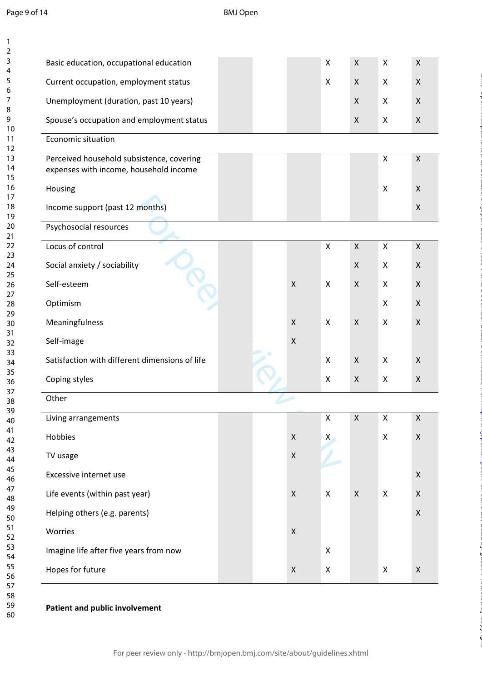123456789

 $\mathbf{1}$  $\overline{2}$  $\overline{3}$  $\overline{4}$ 5 6  $\overline{7}$ 8  $\overline{9}$ 

| Basic education, occupational education        |  |                    | X                  | $\pmb{\mathsf{X}}$ | $\pmb{\mathsf{X}}$        | $\pmb{\mathsf{X}}$ |
|------------------------------------------------|--|--------------------|--------------------|--------------------|---------------------------|--------------------|
| Current occupation, employment status          |  |                    | $\pmb{\mathsf{X}}$ | $\pmb{\mathsf{X}}$ | $\boldsymbol{\mathsf{X}}$ | $\mathsf{X}$       |
| Unemployment (duration, past 10 years)         |  |                    |                    | $\pmb{\mathsf{X}}$ | X                         | $\mathsf{X}$       |
| Spouse's occupation and employment status      |  |                    |                    | $\pmb{\mathsf{X}}$ | X                         | $\pmb{\times}$     |
| Economic situation                             |  |                    |                    |                    |                           |                    |
| Perceived household subsistence, covering      |  |                    |                    |                    | $\pmb{\mathsf{X}}$        | $\mathsf{X}$       |
| expenses with income, household income         |  |                    |                    |                    |                           |                    |
| Housing                                        |  |                    |                    |                    | X                         | X                  |
| Income support (past 12 months)                |  |                    |                    |                    |                           | $\pmb{\times}$     |
| Psychosocial resources                         |  |                    |                    |                    |                           |                    |
| Locus of control                               |  |                    | X                  | $\pmb{\mathsf{X}}$ | $\mathsf{X}$              | $\mathsf{X}$       |
| Social anxiety / sociability                   |  |                    |                    | $\pmb{\mathsf{X}}$ | $\boldsymbol{\mathsf{X}}$ | $\mathsf{X}$       |
| Self-esteem                                    |  | $\mathsf X$        | X                  | $\pmb{\mathsf{X}}$ | $\boldsymbol{\mathsf{X}}$ | $\mathsf{X}$       |
| Optimism                                       |  |                    |                    |                    | X                         | $\pmb{\times}$     |
| Meaningfulness                                 |  | $\mathsf X$        | X                  | X                  | $\boldsymbol{\mathsf{X}}$ | $\pmb{\times}$     |
| Self-image                                     |  | $\pmb{\times}$     |                    |                    |                           |                    |
| Satisfaction with different dimensions of life |  |                    | X                  | $\pmb{\mathsf{X}}$ | $\boldsymbol{\mathsf{X}}$ | $\mathsf{X}$       |
| Coping styles                                  |  |                    | X                  | $\pmb{\mathsf{X}}$ | X                         | $\pmb{\mathsf{X}}$ |
| Other                                          |  |                    |                    |                    |                           |                    |
| Living arrangements                            |  |                    | $\pmb{\mathsf{X}}$ | $\pmb{\mathsf{X}}$ | $\pmb{\mathsf{X}}$        | $\pmb{\mathsf{X}}$ |
| Hobbies                                        |  | $\pmb{\mathsf{X}}$ | $\mathsf{X}$       |                    | $\pmb{\mathsf{X}}$        | $\pmb{\mathsf{X}}$ |
| TV usage                                       |  | $\pmb{\mathsf{X}}$ |                    |                    |                           |                    |
| Excessive internet use                         |  |                    |                    |                    |                           | $\mathsf{X}$       |
| Life events (within past year)                 |  | $\pmb{\mathsf{X}}$ | $\mathsf X$        | $\pmb{\mathsf{X}}$ | X                         | $\pmb{\times}$     |
| Helping others (e.g. parents)                  |  |                    |                    |                    |                           | $\mathsf X$        |
| Worries                                        |  | $\pmb{\mathsf{X}}$ |                    |                    |                           |                    |
| Imagine life after five years from now         |  |                    | X                  |                    |                           |                    |
| Hopes for future                               |  | X                  | X                  |                    | X                         | $\mathsf X$        |

on June 29, 2022 by guest. Protected by copyright. <http://bmjopen.bmj.com/> BMJ Open: first published as 10.1136/bmjopen-2020-046654 on 2 December 2021. Downloaded from

#### **Patient and public involvement**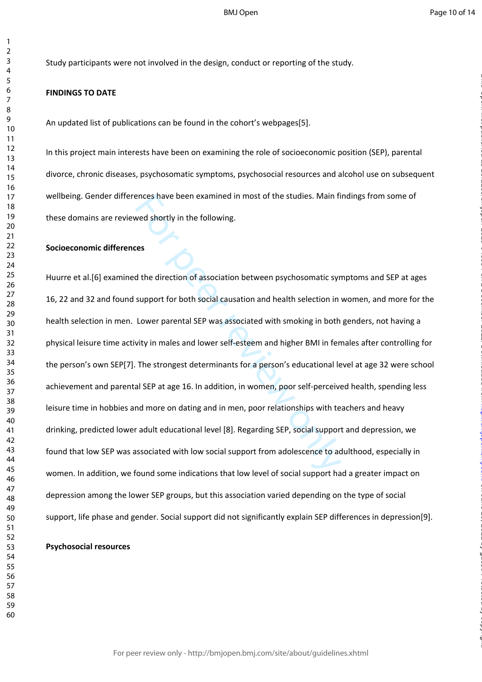Study participants were not involved in the design, conduct or reporting of the study.

#### **FINDINGS TO DATE**

An updated list of publications can be found in the cohort's webpages[5].

In this project main interests have been on examining the role of socioeconomic position (SEP), parental divorce, chronic diseases, psychosomatic symptoms, psychosocial resources and alcohol use on subsequent wellbeing. Gender differences have been examined in most of the studies. Main findings from some of these domains are reviewed shortly in the following.

#### **Socioeconomic differences**

ences have been examined in most of the studies. Main fi<br>wed shortly in the following.<br><br>**Example 1** wed shortly in the following.<br><br>**Example 1** were preview on the sum of the direction in<br>support for both social causation a Huurre et al.[6] examined the direction of association between psychosomatic symptoms and SEP at ages 16, 22 and 32 and found support for both social causation and health selection in women, and more for the health selection in men. Lower parental SEP was associated with smoking in both genders, not having a physical leisure time activity in males and lower self-esteem and higher BMI in females after controlling for the person's own SEP[7]. The strongest determinants for a person's educational level at age 32 were school achievement and parental SEP at age 16. In addition, in women, poor self-perceived health, spending less leisure time in hobbies and more on dating and in men, poor relationships with teachers and heavy drinking, predicted lower adult educational level [8]. Regarding SEP, social support and depression, we found that low SEP was associated with low social support from adolescence to adulthood, especially in women. In addition, we found some indications that low level of social support had a greater impact on depression among the lower SEP groups, but this association varied depending on the type of social support, life phase and gender. Social support did not significantly explain SEP differences in depression[9].

### **Psychosocial resources**

 $\mathbf{1}$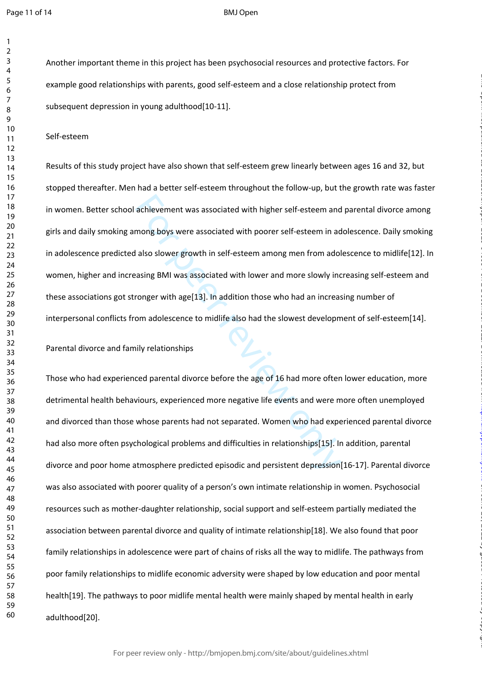$\mathbf{1}$  $\overline{2}$ 

#### BMJ Open

Another important theme in this project has been psychosocial resources and protective factors. For example good relationships with parents, good self-esteem and a close relationship protect from subsequent depression in young adulthood[10-11].

Self-esteem

achievement was associated with higher self-esteem and<br>mong boys were associated with poorer self-esteem in ad<br>also slower growth in self-esteem among men from adol<br>asing BMI was associated with lower and more slowly inc<br>r Results of this study project have also shown that self-esteem grew linearly between ages 16 and 32, but stopped thereafter. Men had a better self-esteem throughout the follow-up, but the growth rate was faster in women. Better school achievement was associated with higher self-esteem and parental divorce among girls and daily smoking among boys were associated with poorer self-esteem in adolescence. Daily smoking in adolescence predicted also slower growth in self-esteem among men from adolescence to midlife[12]. In women, higher and increasing BMI was associated with lower and more slowly increasing self-esteem and these associations got stronger with age[13]. In addition those who had an increasing number of interpersonal conflicts from adolescence to midlife also had the slowest development of self-esteem[14].

on June 29, 2022 by guest. Protected by copyright. <http://bmjopen.bmj.com/> BMJ Open: first published as 10.1136/bmjopen-2020-046654 on 2 December 2021. Downloaded from

Parental divorce and family relationships

Those who had experienced parental divorce before the age of 16 had more often lower education, more detrimental health behaviours, experienced more negative life events and were more often unemployed and divorced than those whose parents had not separated. Women who had experienced parental divorce had also more often psychological problems and difficulties in relationships[15]. In addition, parental divorce and poor home atmosphere predicted episodic and persistent depression[16-17]. Parental divorce was also associated with poorer quality of a person's own intimate relationship in women. Psychosocial resources such as mother-daughter relationship, social support and self-esteem partially mediated the association between parental divorce and quality of intimate relationship[18]. We also found that poor family relationships in adolescence were part of chains of risks all the way to midlife. The pathways from poor family relationships to midlife economic adversity were shaped by low education and poor mental health[19]. The pathways to poor midlife mental health were mainly shaped by mental health in early adulthood[20].

For peer review only - http://bmjopen.bmj.com/site/about/guidelines.xhtml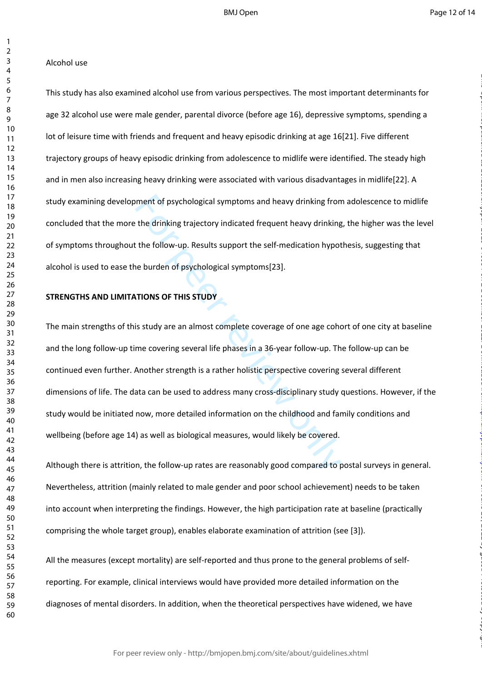#### Alcohol use

This study has also examined alcohol use from various perspectives. The most important determinants for age 32 alcohol use were male gender, parental divorce (before age 16), depressive symptoms, spending a lot of leisure time with friends and frequent and heavy episodic drinking at age 16[21]. Five different trajectory groups of heavy episodic drinking from adolescence to midlife were identified. The steady high and in men also increasing heavy drinking were associated with various disadvantages in midlife[22]. A study examining development of psychological symptoms and heavy drinking from adolescence to midlife concluded that the more the drinking trajectory indicated frequent heavy drinking, the higher was the level of symptoms throughout the follow-up. Results support the self-medication hypothesis, suggesting that alcohol is used to ease the burden of psychological symptoms[23].

#### **STRENGTHS AND LIMITATIONS OF THIS STUDY**

ment of psychological symptoms and heavy drinking from<br>the drinking trajectory indicated frequent heavy drinking<br>the follow-up. Results support the self-medication hypot<br>ne burden of psychological symptoms[23].<br>TIONS OF TH The main strengths of this study are an almost complete coverage of one age cohort of one city at baseline and the long follow-up time covering several life phases in a 36-year follow-up. The follow-up can be continued even further. Another strength is a rather holistic perspective covering several different dimensions of life. The data can be used to address many cross-disciplinary study questions. However, if the study would be initiated now, more detailed information on the childhood and family conditions and wellbeing (before age 14) as well as biological measures, would likely be covered.

Although there is attrition, the follow-up rates are reasonably good compared to postal surveys in general. Nevertheless, attrition (mainly related to male gender and poor school achievement) needs to be taken into account when interpreting the findings. However, the high participation rate at baseline (practically comprising the whole target group), enables elaborate examination of attrition (see [3]).

All the measures (except mortality) are self-reported and thus prone to the general problems of selfreporting. For example, clinical interviews would have provided more detailed information on the diagnoses of mental disorders. In addition, when the theoretical perspectives have widened, we have

For peer review only - http://bmjopen.bmj.com/site/about/guidelines.xhtml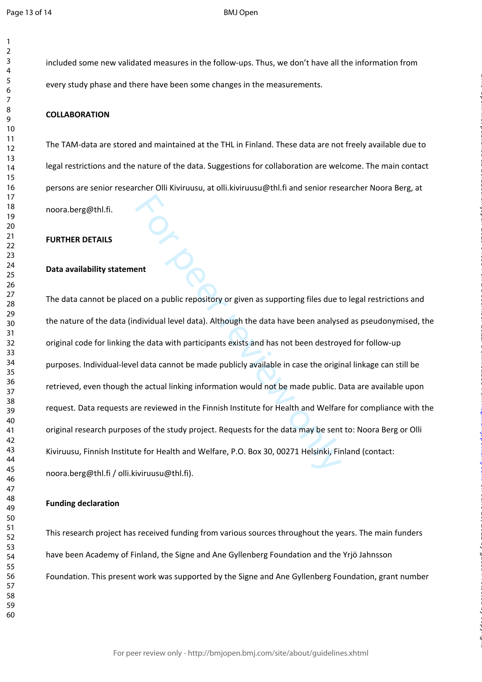$\mathbf{1}$  $\overline{2}$  BMJ Open

included some new validated measures in the follow-ups. Thus, we don't have all the information from every study phase and there have been some changes in the measurements.

#### **COLLABORATION**

The TAM-data are stored and maintained at the THL in Finland. These data are not freely available due to legal restrictions and the nature of the data. Suggestions for collaboration are welcome. The main contact persons are senior researcher Olli Kiviruusu, at olli.kiviruusu@thl.fi and senior researcher Noora Berg, at noora.berg@thl.fi.

#### **FURTHER DETAILS**

#### **Data availability statement**

ent<br>
Example 12 and a public repository or given as supporting files due to<br>
redividual level data). Although the data have been analyse<br>
the data with participants exists and has not been destroy<br>
le data cannot be made p The data cannot be placed on a public repository or given as supporting files due to legal restrictions and the nature of the data (individual level data). Although the data have been analysed as pseudonymised, the original code for linking the data with participants exists and has not been destroyed for follow-up purposes. Individual-level data cannot be made publicly available in case the original linkage can still be retrieved, even though the actual linking information would not be made public. Data are available upon request. Data requests are reviewed in the Finnish Institute for Health and Welfare for compliance with the original research purposes of the study project. Requests for the data may be sent to: Noora Berg or Olli Kiviruusu, Finnish Institute for Health and Welfare, P.O. Box 30, 00271 Helsinki, Finland (contact: noora.berg@thl.fi / olli.kiviruusu@thl.fi).

on June 29, 2022 by guest. Protected by copyright. <http://bmjopen.bmj.com/> BMJ Open: first published as 10.1136/bmjopen-2020-046654 on 2 December 2021. Downloaded from

#### **Funding declaration**

This research project has received funding from various sources throughout the years. The main funders have been Academy of Finland, the Signe and Ane Gyllenberg Foundation and the Yrjö Jahnsson Foundation. This present work was supported by the Signe and Ane Gyllenberg Foundation, grant number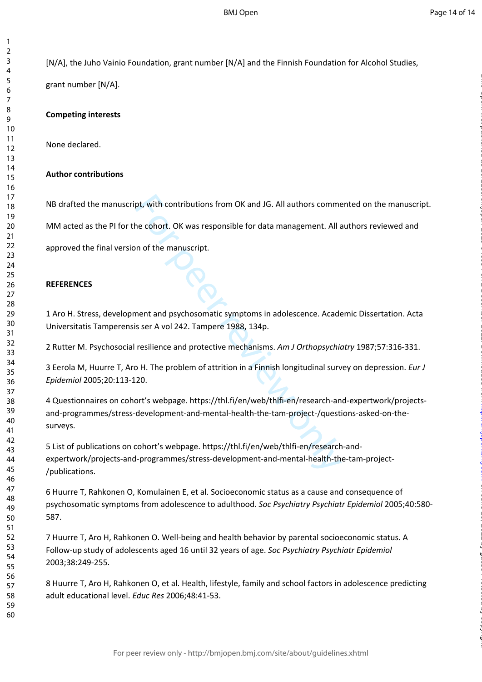[N/A], the Juho Vainio Foundation, grant number [N/A] and the Finnish Foundation for Alcohol Studies,

grant number [N/A].

123456789

 $\mathbf{1}$  $\overline{2}$  $\overline{3}$  $\overline{4}$ 5 6  $\overline{7}$ 8 9

#### **Competing interests**

None declared.

#### **Author contributions**

NB drafted the manuscript, with contributions from OK and JG. All authors commented on the manuscript.

MM acted as the PI for the cohort. OK was responsible for data management. All authors reviewed and

approved the final version of the manuscript.

#### **REFERENCES**

1 Aro H. Stress, development and psychosomatic symptoms in adolescence. Academic Dissertation. Acta Universitatis Tamperensis ser A vol 242. Tampere 1988, 134p.

2 Rutter M. Psychosocial resilience and protective mechanisms. *Am J Orthopsychiatry* 1987;57:316-331.

3 Eerola M, Huurre T, Aro H. The problem of attrition in a Finnish longitudinal survey on depression. *Eur J Epidemiol* 2005;20:113-120.

pt, with contributions from OK and JG. All authors comme<br>
ne cohort. OK was responsible for data management. All a<br>
n of the manuscript.<br>
Notice for data management. All a<br>
notic manuscript.<br>
Notice manuscript.<br>
The manusc 4 Questionnaires on cohort's webpage. https://thl.fi/en/web/thlfi-en/research-and-expertwork/projectsand-programmes/stress-development-and-mental-health-the-tam-project-/questions-asked-on-thesurveys.

5 List of publications on cohort's webpage. https://thl.fi/en/web/thlfi-en/research-andexpertwork/projects-and-programmes/stress-development-and-mental-health-the-tam-project- /publications.

6 Huurre T, Rahkonen O, Komulainen E, et al. Socioeconomic status as a cause and consequence of psychosomatic symptoms from adolescence to adulthood. *Soc Psychiatry Psychiatr Epidemiol* 2005;40:580- 587.

7 Huurre T, Aro H, Rahkonen O. Well-being and health behavior by parental socioeconomic status. A Follow-up study of adolescents aged 16 until 32 years of age. *Soc Psychiatry Psychiatr Epidemiol*  2003;38:249-255.

8 Huurre T, Aro H, Rahkonen O, et al. Health, lifestyle, family and school factors in adolescence predicting adult educational level. *Educ Res* 2006;48:41-53.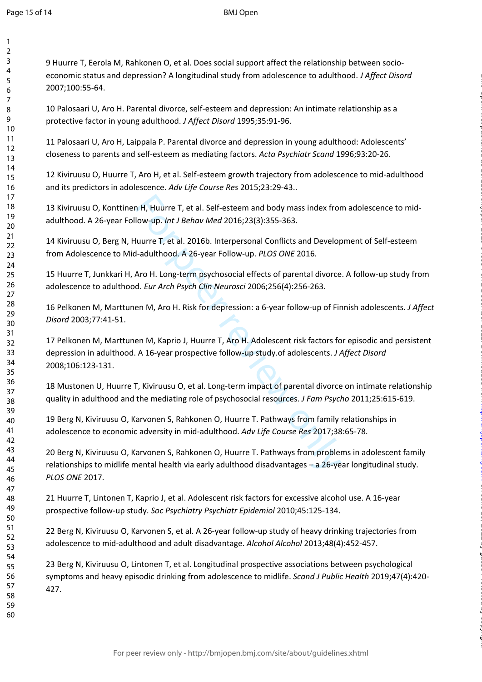$\mathbf{1}$ 

60

9 Huurre T, Eerola M, Rahkonen O, et al. Does social support affect the relationship between socioeconomic status and depression? A longitudinal study from adolescence to adulthood. *J Affect Disord* 2007;100:55-64.

10 Palosaari U, Aro H. Parental divorce, self-esteem and depression: An intimate relationship as a protective factor in young adulthood. *J Affect Disord* 1995;35:91-96.

11 Palosaari U, Aro H, Laippala P. Parental divorce and depression in young adulthood: Adolescents' closeness to parents and self-esteem as mediating factors. *Acta Psychiatr Scand* 1996;93:20-26.

12 Kiviruusu O, Huurre T, Aro H, et al. Self-esteem growth trajectory from adolescence to mid-adulthood and its predictors in adolescence. *Adv Life Course Res* 2015;23:29-43..

13 Kiviruusu O, Konttinen H, Huurre T, et al. Self-esteem and body mass index from adolescence to midadulthood. A 26-year Follow-up. *Int J Behav Med* 2016;23(3):355-363.

14 Kiviruusu O, Berg N, Huurre T, et al. 2016b. Interpersonal Conflicts and Development of Self-esteem from Adolescence to Mid-adulthood. A 26-year Follow-up. *PLOS ONE* 2016*.* 

15 Huurre T, Junkkari H, Aro H. Long-term psychosocial effects of parental divorce. A follow-up study from adolescence to adulthood. *Eur Arch Psych Clin Neurosci* 2006;256(4):256-263.

16 Pelkonen M, Marttunen M, Aro H. Risk for depression: a 6-year follow-up of Finnish adolescents*. J Affect Disord* 2003;77:41-51.

n H, Huurre T, et al. Self-esteem and body mass index fro<br>Iow-up. *Int J Behav Med* 2016;23(3):355-363.<br>Iuurre T, et al. 2016b. Interpersonal Conflicts and Develop-<br>I-adulthood. A 26-year Follow-up. *PLOS ONE* 2016.<br>Aro H. 17 Pelkonen M, Marttunen M, Kaprio J, Huurre T, Aro H. Adolescent risk factors for episodic and persistent depression in adulthood. A 16-year prospective follow-up study.of adolescents. *J Affect Disord* 2008;106:123-131.

on June 29, 2022 by guest. Protected by copyright. <http://bmjopen.bmj.com/> BMJ Open: first published as 10.1136/bmjopen-2020-046654 on 2 December 2021. Downloaded from

18 Mustonen U, Huurre T, Kiviruusu O, et al. Long-term impact of parental divorce on intimate relationship quality in adulthood and the mediating role of psychosocial resources. *J Fam Psycho* 2011;25:615-619.

19 Berg N, Kiviruusu O, Karvonen S, Rahkonen O, Huurre T. Pathways from family relationships in adolescence to economic adversity in mid-adulthood. *Adv Life Course Res* 2017;38:65-78.

20 Berg N, Kiviruusu O, Karvonen S, Rahkonen O, Huurre T. Pathways from problems in adolescent family relationships to midlife mental health via early adulthood disadvantages – a 26-year longitudinal study. *PLOS ONE* 2017.

21 Huurre T, Lintonen T, Kaprio J, et al. Adolescent risk factors for excessive alcohol use. A 16-year prospective follow-up study. *Soc Psychiatry Psychiatr Epidemiol* 2010;45:125-134.

22 Berg N, Kiviruusu O, Karvonen S, et al. A 26-year follow-up study of heavy drinking trajectories from adolescence to mid-adulthood and adult disadvantage. *Alcohol Alcohol* 2013;48(4):452-457.

23 Berg N, Kiviruusu O, Lintonen T, et al. Longitudinal prospective associations between psychological symptoms and heavy episodic drinking from adolescence to midlife. *Scand J Public Health* 2019;47(4):420- 427.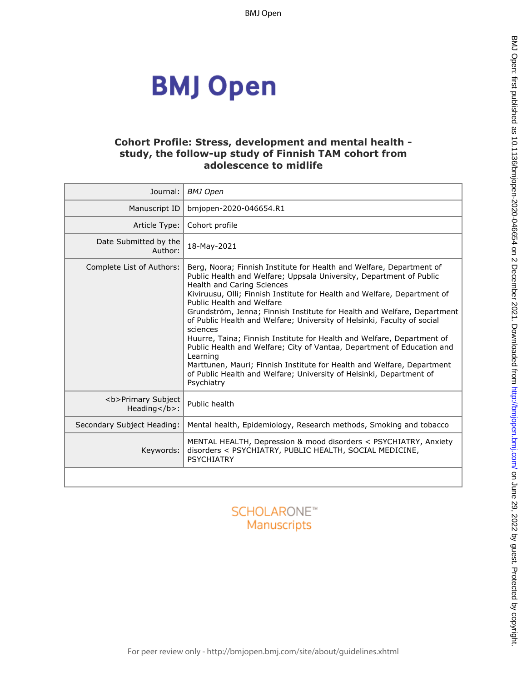# **BMJ Open**

## **Cohort Profile: Stress, development and mental health study, the follow-up study of Finnish TAM cohort from adolescence to midlife**

| Journal:                                                   | <b>BMJ</b> Open                                                                                                                                                                                                                                                                                                                                                                                                                                                                                                                                                                                                                                                                                                                                                                     |
|------------------------------------------------------------|-------------------------------------------------------------------------------------------------------------------------------------------------------------------------------------------------------------------------------------------------------------------------------------------------------------------------------------------------------------------------------------------------------------------------------------------------------------------------------------------------------------------------------------------------------------------------------------------------------------------------------------------------------------------------------------------------------------------------------------------------------------------------------------|
| Manuscript ID                                              | bmjopen-2020-046654.R1                                                                                                                                                                                                                                                                                                                                                                                                                                                                                                                                                                                                                                                                                                                                                              |
| Article Type:                                              | Cohort profile                                                                                                                                                                                                                                                                                                                                                                                                                                                                                                                                                                                                                                                                                                                                                                      |
| Date Submitted by the<br>Author:                           | 18-May-2021                                                                                                                                                                                                                                                                                                                                                                                                                                                                                                                                                                                                                                                                                                                                                                         |
| Complete List of Authors:                                  | Berg, Noora; Finnish Institute for Health and Welfare, Department of<br>Public Health and Welfare; Uppsala University, Department of Public<br>Health and Caring Sciences<br>Kiviruusu, Olli; Finnish Institute for Health and Welfare, Department of<br>Public Health and Welfare<br>Grundström, Jenna; Finnish Institute for Health and Welfare, Department<br>of Public Health and Welfare; University of Helsinki, Faculty of social<br>sciences<br>Huurre, Taina; Finnish Institute for Health and Welfare, Department of<br>Public Health and Welfare; City of Vantaa, Department of Education and<br>Learning<br>Marttunen, Mauri; Finnish Institute for Health and Welfare, Department<br>of Public Health and Welfare; University of Helsinki, Department of<br>Psychiatry |
| <b>Primary Subject<br/>Heading<math>&lt;</math>/b&gt;:</b> | Public health                                                                                                                                                                                                                                                                                                                                                                                                                                                                                                                                                                                                                                                                                                                                                                       |
| Secondary Subject Heading:                                 | Mental health, Epidemiology, Research methods, Smoking and tobacco                                                                                                                                                                                                                                                                                                                                                                                                                                                                                                                                                                                                                                                                                                                  |
| Keywords:                                                  | MENTAL HEALTH, Depression & mood disorders < PSYCHIATRY, Anxiety<br>disorders < PSYCHIATRY, PUBLIC HEALTH, SOCIAL MEDICINE,<br><b>PSYCHIATRY</b>                                                                                                                                                                                                                                                                                                                                                                                                                                                                                                                                                                                                                                    |
|                                                            |                                                                                                                                                                                                                                                                                                                                                                                                                                                                                                                                                                                                                                                                                                                                                                                     |

# **SCHOLARONE™** Manuscripts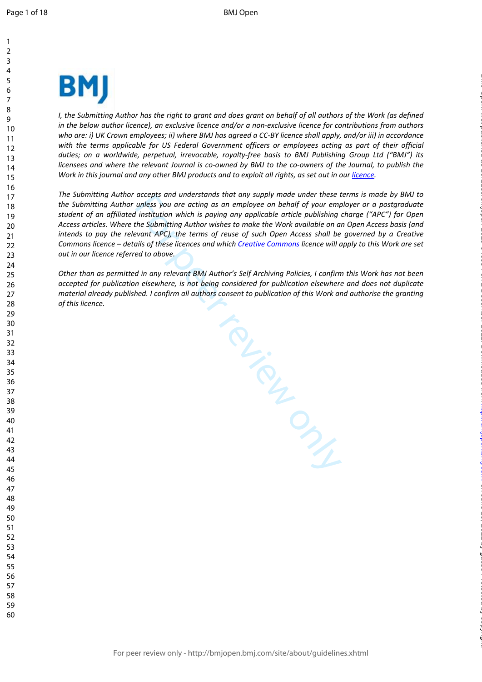

*I*, the Submitting Author has the right to grant and does grant on behalf of all authors of the Work (as defined *in the below author licence), an exclusive licence and/or a non-exclusive licence for contributions from authors who are: i) UK Crown employees; ii) where BMJ has agreed a CC-BY licence shall apply, and/or iii) in accordance with the terms applicable for US Federal Government officers or employees acting as part of their official duties; on a worldwide, perpetual, irrevocable, royalty-free basis to BMJ Publishing Group Ltd ("BMJ") its licensees and where the relevant Journal is co-owned by BMJ to the co-owners of the Journal, to publish the*  Work in this journal and any other BMJ products and to exploit all rights, as set out in our *[licence](https://authors.bmj.com/wp-content/uploads/2018/11/BMJ_Journals_Combined_Author_Licence_2018.pdf)*.

*The Submitting Author accepts and understands that any supply made under these terms is made by BMJ to the Submitting Author unless you are acting as an employee on behalf of your employer or a postgraduate student of an affiliated institution which is paying any applicable article publishing charge ("APC") for Open Access articles. Where the Submitting Author wishes to make the Work available on an Open Access basis (and intends to pay the relevant APC), the terms of reuse of such Open Access shall be governed by a Creative Commons licence – details of these licences and which Creative Commons licence will apply to this Work are set out in our licence referred to above.* 

*Other than as permitted in any relevant BMJ Author's Self Archiving Policies, I confirm this Work has not been accepted for publication elsewhere, is not being considered for publication elsewhere and does not duplicate material already published. I confirm all authors consent to publication of this Work and authorise the granting of this licence.*

For Prince

on June 29, 2022 by guest. Protected by copyright. <http://bmjopen.bmj.com/> BMJ Open: first published as 10.1136/bmjopen-2020-046654 on 2 December 2021. Downloaded from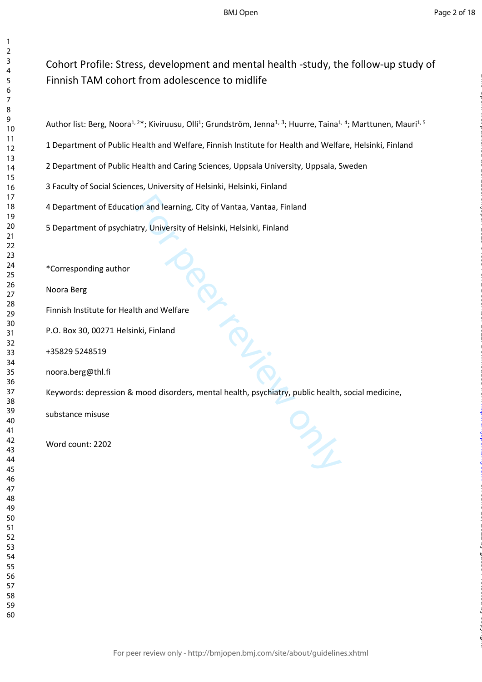# Cohort Profile: Stress, development and mental health -study, the follow-up study of Finnish TAM cohort from adolescence to midlife

1 Department of Public Health and Welfare, Finnish Institute for Health and Welfare, Helsinki, Finland

2 Department of Public Health and Caring Sciences, Uppsala University, Uppsala, Sweden

3 Faculty of Social Sciences, University of Helsinki, Helsinki, Finland

4 Department of Education and learning, City of Vantaa, Vantaa, Finland

5 Department of psychiatry, University of Helsinki, Helsinki, Finland

\*Corresponding author

Noora Berg

Finnish Institute for Health and Welfare

P.O. Box 30, 00271 Helsinki, Finland

+35829 5248519

noora.berg@thl.fi

Keywords: depression & mood disorders, mental health, psychiatry, public health, social medicine,

substance misuse

Word count: 2202

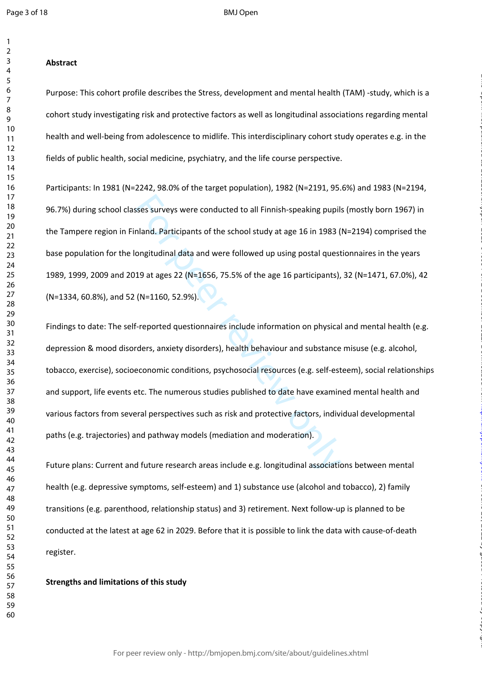$\mathbf{1}$  $\overline{2}$ 

#### $\overline{4}$  $\overline{7}$

#### **Abstract**

Purpose: This cohort profile describes the Stress, development and mental health (TAM) -study, which is a cohort study investigating risk and protective factors as well as longitudinal associations regarding mental health and well-being from adolescence to midlife. This interdisciplinary cohort study operates e.g. in the fields of public health, social medicine, psychiatry, and the life course perspective.

Participants: In 1981 (N=2242, 98.0% of the target population), 1982 (N=2191, 95.6%) and 1983 (N=2194, 96.7%) during school classes surveys were conducted to all Finnish-speaking pupils (mostly born 1967) in the Tampere region in Finland. Participants of the school study at age 16 in 1983 (N=2194) comprised the base population for the longitudinal data and were followed up using postal questionnaires in the years 1989, 1999, 2009 and 2019 at ages 22 (N=1656, 75.5% of the age 16 participants), 32 (N=1471, 67.0%), 42 (N=1334, 60.8%), and 52 (N=1160, 52.9%).

sses surveys were conducted to all Finnish-speaking pupils<br>
nland. Participants of the school study at age 16 in 1983 (<br>
ongitudinal data and were followed up using postal quest<br>
19 at ages 22 (N=1656, 75.5% of the age 16 Findings to date: The self-reported questionnaires include information on physical and mental health (e.g. depression & mood disorders, anxiety disorders), health behaviour and substance misuse (e.g. alcohol, tobacco, exercise), socioeconomic conditions, psychosocial resources (e.g. self-esteem), social relationships and support, life events etc. The numerous studies published to date have examined mental health and various factors from several perspectives such as risk and protective factors, individual developmental paths (e.g. trajectories) and pathway models (mediation and moderation).

on June 29, 2022 by guest. Protected by copyright. <http://bmjopen.bmj.com/> BMJ Open: first published as 10.1136/bmjopen-2020-046654 on 2 December 2021. Downloaded from

Future plans: Current and future research areas include e.g. longitudinal associations between mental health (e.g. depressive symptoms, self-esteem) and 1) substance use (alcohol and tobacco), 2) family transitions (e.g. parenthood, relationship status) and 3) retirement. Next follow-up is planned to be conducted at the latest at age 62 in 2029. Before that it is possible to link the data with cause-of-death register.

#### **Strengths and limitations of this study**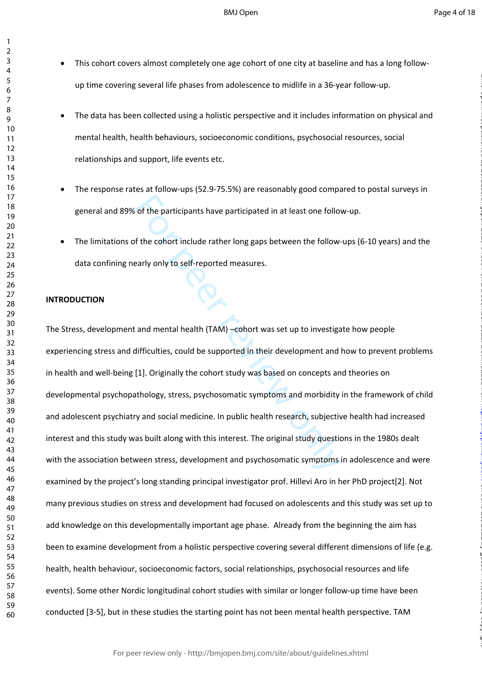BMJ Open

on June 29, 2022 by guest. Protected by copyright. <http://bmjopen.bmj.com/> BMJ Open: first published as 10.1136/bmjopen-2020-046654 on 2 December 2021. Downloaded from

- $\bullet$ This cohort covers almost completely one age cohort of one city at baseline and has a long followup time covering several life phases from adolescence to midlife in a 36-year follow-up.
	- The data has been collected using a holistic perspective and it includes information on physical and mental health, health behaviours, socioeconomic conditions, psychosocial resources, social relationships and support, life events etc.
- The response rates at follow-ups (52.9-75.5%) are reasonably good compared to postal surveys in general and 89% of the participants have participated in at least one follow-up.
- The limitations of the cohort include rather long gaps between the follow-ups (6-10 years) and the data confining nearly only to self-reported measures.

#### **INTRODUCTION**

 $\mathbf{1}$  $\overline{2}$  $\overline{4}$  $\overline{7}$  $\mathsf{Q}$ 

of the participants have participated in at least one follow<br>
f the cohort include rather long gaps between the follow-<br>
sarly only to self-reported measures.<br>
and mental health (TAM) –cohort was set up to investiga<br>
diffi The Stress, development and mental health (TAM) –cohort was set up to investigate how people experiencing stress and difficulties, could be supported in their development and how to prevent problems in health and well-being [1]. Originally the cohort study was based on concepts and theories on developmental psychopathology, stress, psychosomatic symptoms and morbidity in the framework of child and adolescent psychiatry and social medicine. In public health research, subjective health had increased interest and this study was built along with this interest. The original study questions in the 1980s dealt with the association between stress, development and psychosomatic symptoms in adolescence and were examined by the project's long standing principal investigator prof. Hillevi Aro in her PhD project[2]. Not many previous studies on stress and development had focused on adolescents and this study was set up to add knowledge on this developmentally important age phase. Already from the beginning the aim has been to examine development from a holistic perspective covering several different dimensions of life (e.g. health, health behaviour, socioeconomic factors, social relationships, psychosocial resources and life events). Some other Nordic longitudinal cohort studies with similar or longer follow-up time have been conducted [3-5], but in these studies the starting point has not been mental health perspective. TAM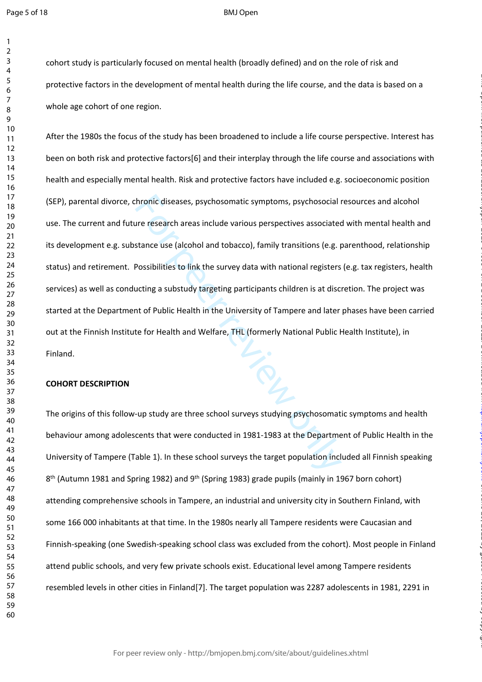$\mathbf{1}$ 

#### BMJ Open

cohort study is particularly focused on mental health (broadly defined) and on the role of risk and protective factors in the development of mental health during the life course, and the data is based on a whole age cohort of one region.

thronic diseases, psychosomatic symptoms, psychosocial ure research areas include various perspectives associated<br>tance use (alcohol and tobacco), family transitions (e.g. prossibilities to link the survey data with nation After the 1980s the focus of the study has been broadened to include a life course perspective. Interest has been on both risk and protective factors[6] and their interplay through the life course and associations with health and especially mental health. Risk and protective factors have included e.g. socioeconomic position (SEP), parental divorce, chronic diseases, psychosomatic symptoms, psychosocial resources and alcohol use. The current and future research areas include various perspectives associated with mental health and its development e.g. substance use (alcohol and tobacco), family transitions (e.g. parenthood, relationship status) and retirement. Possibilities to link the survey data with national registers (e.g. tax registers, health services) as well as conducting a substudy targeting participants children is at discretion. The project was started at the Department of Public Health in the University of Tampere and later phases have been carried out at the Finnish Institute for Health and Welfare, THL (formerly National Public Health Institute), in Finland.

on June 29, 2022 by guest. Protected by copyright. <http://bmjopen.bmj.com/> BMJ Open: first published as 10.1136/bmjopen-2020-046654 on 2 December 2021. Downloaded from

#### **COHORT DESCRIPTION**

The origins of this follow-up study are three school surveys studying psychosomatic symptoms and health behaviour among adolescents that were conducted in 1981-1983 at the Department of Public Health in the University of Tampere (Table 1). In these school surveys the target population included all Finnish speaking<br>8<sup>th</sup> (Autumn 1981 and Spring 1982) and 9<sup>th</sup> (Spring 1983) grade pupils (mainly in 1967 born cohort) attending comprehensive schools in Tampere, an industrial and university city in Southern Finland, with some 166 000 inhabitants at that time. In the 1980s nearly all Tampere residents were Caucasian and Finnish-speaking (one Swedish-speaking school class was excluded from the cohort). Most people in Finland attend public schools, and very few private schools exist. Educational level among Tampere residents resembled levels in other cities in Finland[7]. The target population was 2287 adolescents in 1981, 2291 in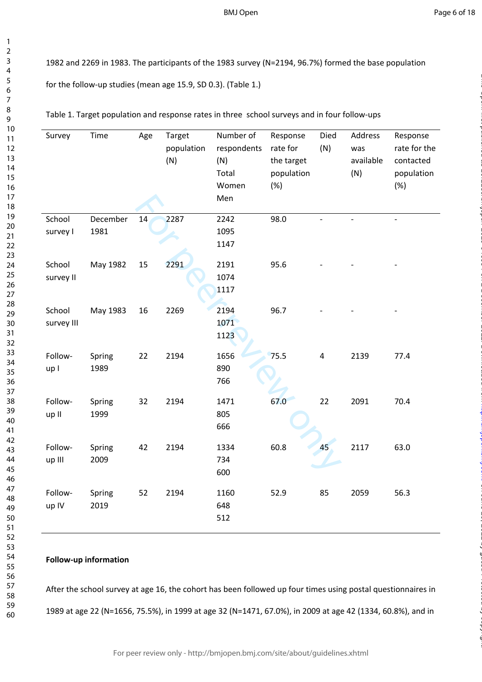#### BMJ Open

Page 6 of 18

on June 29, 2022 by guest. Protected by copyright. <http://bmjopen.bmj.com/> BMJ Open: first published as 10.1136/bmjopen-2020-046654 on 2 December 2021. Downloaded from

1982 and 2269 in 1983. The participants of the 1983 survey (N=2194, 96.7%) formed the base population for the follow-up studies (mean age 15.9, SD 0.3). (Table 1.)

Table 1. Target population and response rates in three school surveys and in four follow-ups

| Survey               | Time             | Age | Target<br>population<br>(N) | Number of<br>respondents<br>(N)<br>Total<br>Women<br>Men | Response<br>rate for<br>the target<br>population<br>(%) | Died<br>(N) | Address<br>was<br>available<br>(N) | Response<br>rate for the<br>contacted<br>population<br>(%) |
|----------------------|------------------|-----|-----------------------------|----------------------------------------------------------|---------------------------------------------------------|-------------|------------------------------------|------------------------------------------------------------|
| School<br>survey I   | December<br>1981 | 14  | 2287                        | 2242<br>1095<br>1147                                     | 98.0                                                    |             |                                    | $\overline{a}$                                             |
| School<br>survey II  | May 1982         | 15  | 2291                        | 2191<br>1074<br>1117                                     | 95.6                                                    |             |                                    |                                                            |
| School<br>survey III | May 1983         | 16  | 2269                        | 2194<br>1071<br>1123                                     | 96.7                                                    |             |                                    |                                                            |
| Follow-<br>up I      | Spring<br>1989   | 22  | 2194                        | 1656<br>890<br>766                                       | 75.5                                                    | $\pmb{4}$   | 2139                               | 77.4                                                       |
| Follow-<br>up II     | Spring<br>1999   | 32  | 2194                        | 1471<br>805<br>666                                       | 67.0                                                    | 22          | 2091                               | 70.4                                                       |
| Follow-<br>up III    | Spring<br>2009   | 42  | 2194                        | 1334<br>734<br>600                                       | 60.8                                                    | 45          | 2117                               | 63.0                                                       |
| Follow-<br>up IV     | Spring<br>2019   | 52  | 2194                        | 1160<br>648<br>512                                       | 52.9                                                    | 85          | 2059                               | 56.3                                                       |
|                      |                  |     |                             |                                                          |                                                         |             |                                    |                                                            |

**Follow-up information**

After the school survey at age 16, the cohort has been followed up four times using postal questionnaires in 1989 at age 22 (N=1656, 75.5%), in 1999 at age 32 (N=1471, 67.0%), in 2009 at age 42 (1334, 60.8%), and in

For peer review only - http://bmjopen.bmj.com/site/about/guidelines.xhtml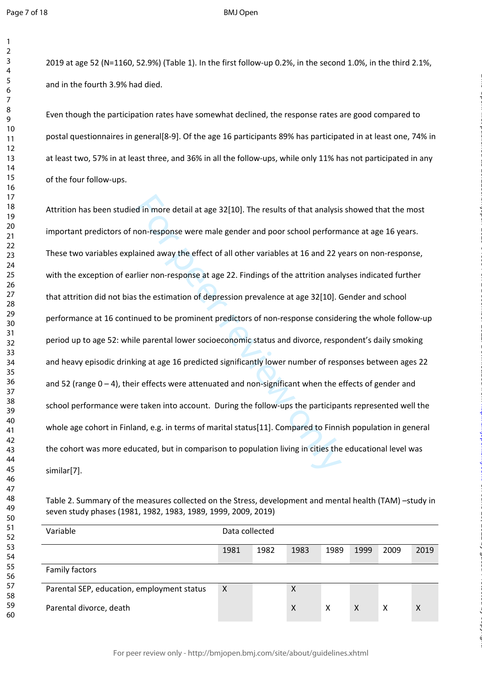$\mathbf{1}$  $\overline{2}$ 

#### BMJ Open

2019 at age 52 (N=1160, 52.9%) (Table 1). In the first follow-up 0.2%, in the second 1.0%, in the third 2.1%, and in the fourth 3.9% had died.

Even though the participation rates have somewhat declined, the response rates are good compared to postal questionnaires in general[8-9]. Of the age 16 participants 89% has participated in at least one, 74% in at least two, 57% in at least three, and 36% in all the follow-ups, while only 11% has not participated in any of the four follow-ups.

d in more detail at age 32[10]. The results of that analysis<br>non-response were male gender and poor school perform<br>ained away the effect of all other variables at 16 and 22 y<br>rlier non-response at age 22. Findings of the a Attrition has been studied in more detail at age 32[10]. The results of that analysis showed that the most important predictors of non-response were male gender and poor school performance at age 16 years. These two variables explained away the effect of all other variables at 16 and 22 years on non-response, with the exception of earlier non-response at age 22. Findings of the attrition analyses indicated further that attrition did not bias the estimation of depression prevalence at age 32[10]. Gender and school performance at 16 continued to be prominent predictors of non-response considering the whole follow-up period up to age 52: while parental lower socioeconomic status and divorce, respondent's daily smoking and heavy episodic drinking at age 16 predicted significantly lower number of responses between ages 22 and 52 (range  $0 - 4$ ), their effects were attenuated and non-significant when the effects of gender and school performance were taken into account. During the follow-ups the participants represented well the whole age cohort in Finland, e.g. in terms of marital status[11]. Compared to Finnish population in general the cohort was more educated, but in comparison to population living in cities the educational level was similar[7].

on June 29, 2022 by guest. Protected by copyright. <http://bmjopen.bmj.com/> BMJ Open: first published as 10.1136/bmjopen-2020-046654 on 2 December 2021. Downloaded from

| Variable                                   | Data collected |      |      |      |              |      |      |
|--------------------------------------------|----------------|------|------|------|--------------|------|------|
|                                            | 1981           | 1982 | 1983 | 1989 | 1999         | 2009 | 2019 |
| <b>Family factors</b>                      |                |      |      |      |              |      |      |
| Parental SEP, education, employment status | $\times$       |      | X    |      |              |      |      |
| Parental divorce, death                    |                |      | X    | X    | $\mathsf{X}$ | х    | Χ    |

Table 2. Summary of the measures collected on the Stress, development and mental health (TAM) –study in seven study phases (1981, 1982, 1983, 1989, 1999, 2009, 2019)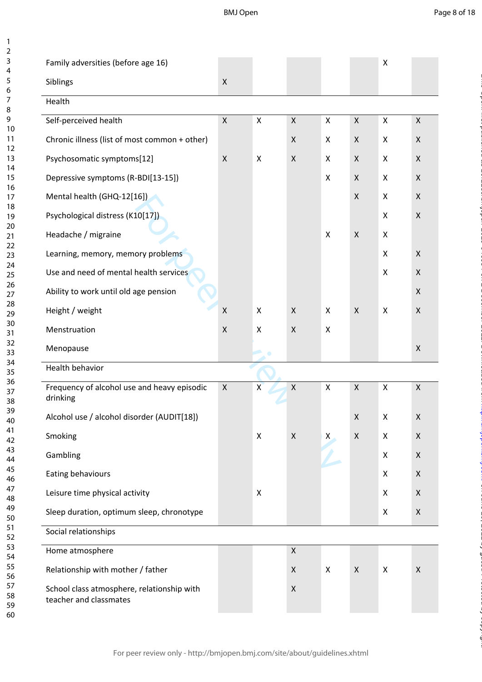BMJ Open

| Page 8 of 18 |  |  |
|--------------|--|--|
|              |  |  |

on June 29, 2022 by guest. Protected by copyright. <http://bmjopen.bmj.com/> BMJ Open: first published as 10.1136/bmjopen-2020-046654 on 2 December 2021. Downloaded from

| Family adversities (before age 16)                                   |                    |                |                    |                           |                    | X              |                           |
|----------------------------------------------------------------------|--------------------|----------------|--------------------|---------------------------|--------------------|----------------|---------------------------|
| Siblings                                                             | $\pmb{\times}$     |                |                    |                           |                    |                |                           |
| Health                                                               |                    |                |                    |                           |                    |                |                           |
| Self-perceived health                                                | $\mathsf X$        | $\pmb{\times}$ | $\pmb{\times}$     | $\mathsf X$               | $\pmb{\times}$     | $\pmb{\times}$ | $\mathsf{X}$              |
| Chronic illness (list of most common + other)                        |                    |                | $\pmb{\times}$     | X                         | X                  | X              | X                         |
| Psychosomatic symptoms[12]                                           | $\pmb{\mathsf{X}}$ | X              | X                  | X                         | X                  | X              | $\pmb{\times}$            |
| Depressive symptoms (R-BDI[13-15])                                   |                    |                |                    | X                         | X                  | X              | X                         |
| Mental health (GHQ-12[16])                                           |                    |                |                    |                           | $\pmb{\times}$     | X              | $\pmb{\times}$            |
| Psychological distress (K10[17])                                     |                    |                |                    |                           |                    | X              | $\pmb{\times}$            |
| Headache / migraine                                                  |                    |                |                    | $\mathsf{X}$              | X                  | X              |                           |
| Learning, memory, memory problems                                    |                    |                |                    |                           |                    | X              | $\boldsymbol{\mathsf{X}}$ |
| Use and need of mental health services                               |                    |                |                    |                           |                    | X              | X                         |
| Ability to work until old age pension                                |                    |                |                    |                           |                    |                | X                         |
| Height / weight                                                      | $\pmb{\mathsf{X}}$ | X              | $\pmb{\times}$     | X                         | $\pmb{\times}$     | X              | $\pmb{\times}$            |
| Menstruation                                                         | $\pmb{\mathsf{X}}$ | X              | $\pmb{\times}$     | X                         |                    |                |                           |
| Menopause                                                            |                    |                |                    |                           |                    |                | X                         |
| <b>Health behavior</b>                                               |                    |                |                    |                           |                    |                |                           |
| Frequency of alcohol use and heavy episodic<br>drinking              | $\pmb{\times}$     | $\mathsf{x}$   | $\mathsf X$        | $\boldsymbol{\mathsf{X}}$ | $\pmb{\times}$     | X              | $\mathsf{X}$              |
| Alcohol use / alcohol disorder (AUDIT[18])                           |                    |                |                    |                           | $\pmb{\mathsf{X}}$ | Χ              | $\pmb{\mathsf{X}}$        |
| Smoking                                                              |                    | X              | $\mathsf X$        | $\pmb{\mathsf{X}}$        | $\pmb{\mathsf{X}}$ | X              | $\pmb{\times}$            |
| Gambling                                                             |                    |                |                    |                           |                    | X              | $\pmb{\times}$            |
| Eating behaviours                                                    |                    |                |                    |                           |                    | X              | X                         |
| Leisure time physical activity                                       |                    | X              |                    |                           |                    | X              | X                         |
| Sleep duration, optimum sleep, chronotype                            |                    |                |                    |                           |                    | X              | $\pmb{\mathsf{X}}$        |
| Social relationships                                                 |                    |                |                    |                           |                    |                |                           |
| Home atmosphere                                                      |                    |                | X                  |                           |                    |                |                           |
| Relationship with mother / father                                    |                    |                | $\pmb{\mathsf{X}}$ | $\boldsymbol{\mathsf{X}}$ | $\mathsf{X}$       | X              | $\pmb{\times}$            |
| School class atmosphere, relationship with<br>teacher and classmates |                    |                | $\pmb{\mathsf{X}}$ |                           |                    |                |                           |

 $\mathbf{1}$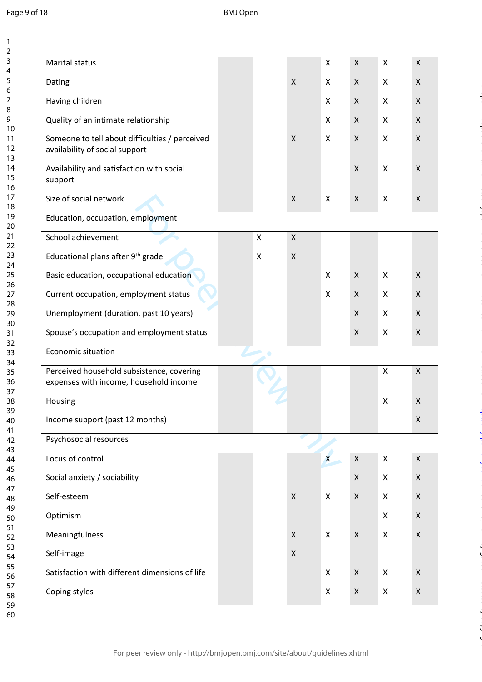123456789

 $\mathbf{1}$  $\overline{2}$  $\overline{3}$  $\overline{4}$ 5 6  $\overline{7}$ 8  $\overline{9}$ 

| Marital status                                                                      |                           |                           | X                         | $\pmb{\mathsf{X}}$ | $\pmb{\mathsf{X}}$        | $\pmb{\mathsf{X}}$ |
|-------------------------------------------------------------------------------------|---------------------------|---------------------------|---------------------------|--------------------|---------------------------|--------------------|
| Dating                                                                              |                           | $\mathsf{X}$              | X                         | $\pmb{\times}$     | $\mathsf{X}$              | $\pmb{\mathsf{X}}$ |
| Having children                                                                     |                           |                           | X                         | $\pmb{\times}$     | $\boldsymbol{\mathsf{X}}$ | $\pmb{\mathsf{X}}$ |
| Quality of an intimate relationship                                                 |                           |                           | X                         | $\pmb{\times}$     | $\pmb{\times}$            | $\pmb{\mathsf{X}}$ |
| Someone to tell about difficulties / perceived<br>availability of social support    |                           | $\boldsymbol{\mathsf{X}}$ | X                         | $\mathsf X$        | X                         | $\pmb{\mathsf{X}}$ |
| Availability and satisfaction with social<br>support                                |                           |                           |                           | $\pmb{\mathsf{X}}$ | $\pmb{\times}$            | $\pmb{\mathsf{X}}$ |
| Size of social network                                                              |                           | $\pmb{\times}$            | $\boldsymbol{\mathsf{X}}$ | $\pmb{\mathsf{X}}$ | Χ                         | $\pmb{\mathsf{X}}$ |
| Education, occupation, employment                                                   |                           |                           |                           |                    |                           |                    |
| School achievement                                                                  | $\pmb{\times}$            | $\mathsf{X}$              |                           |                    |                           |                    |
| Educational plans after 9th grade                                                   | $\boldsymbol{\mathsf{X}}$ | $\pmb{\times}$            |                           |                    |                           |                    |
| Basic education, occupational education                                             |                           |                           | X                         | $\pmb{\mathsf{X}}$ | $\pmb{\times}$            | $\pmb{\mathsf{X}}$ |
| Current occupation, employment status                                               |                           |                           | $\pmb{\times}$            | $\pmb{\times}$     | X                         | $\pmb{\mathsf{X}}$ |
| Unemployment (duration, past 10 years)                                              |                           |                           |                           | $\pmb{\times}$     | Χ                         | $\pmb{\mathsf{X}}$ |
| Spouse's occupation and employment status                                           |                           |                           |                           | $\pmb{\mathsf{X}}$ | X                         | $\pmb{\mathsf{X}}$ |
| Economic situation                                                                  | $\bullet$                 |                           |                           |                    |                           |                    |
| Perceived household subsistence, covering<br>expenses with income, household income |                           |                           |                           |                    | $\pmb{\mathsf{X}}$        | $\pmb{\mathsf{X}}$ |
| Housing                                                                             |                           |                           |                           |                    | $\pmb{\times}$            | $\pmb{\mathsf{X}}$ |
| Income support (past 12 months)                                                     |                           |                           |                           |                    |                           | $\pmb{\mathsf{X}}$ |
| Psychosocial resources                                                              |                           |                           |                           |                    |                           |                    |
| Locus of control                                                                    |                           |                           | $\boldsymbol{\mathsf{X}}$ | $\mathsf X$        | $\mathsf X$               | $\pmb{\mathsf{X}}$ |
| Social anxiety / sociability                                                        |                           |                           |                           | $\pmb{\times}$     | X                         | $\pmb{\mathsf{X}}$ |
| Self-esteem                                                                         |                           | $\pmb{\times}$            | X                         | X                  | X                         | $\pmb{\mathsf{X}}$ |
| Optimism                                                                            |                           |                           |                           |                    | X                         | X                  |
| Meaningfulness                                                                      |                           | X                         | $\boldsymbol{\mathsf{X}}$ | $\pmb{\times}$     | X                         | X                  |
| Self-image                                                                          |                           | $\pmb{\times}$            |                           |                    |                           |                    |
| Satisfaction with different dimensions of life                                      |                           |                           | X                         | $\pmb{\times}$     | X                         | $\pmb{\mathsf{X}}$ |
|                                                                                     |                           |                           |                           |                    |                           |                    |

on June 29, 2022 by guest. Protected by copyright. <http://bmjopen.bmj.com/> BMJ Open: first published as 10.1136/bmjopen-2020-046654 on 2 December 2021. Downloaded from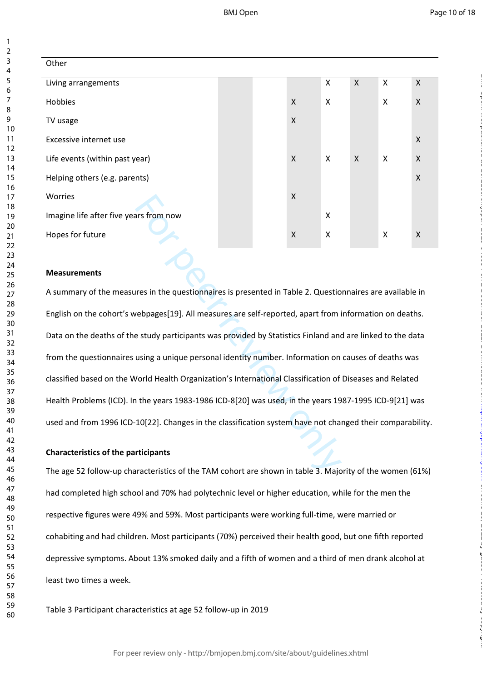| Other                                  |  |                    |                           |                           |              |                           |
|----------------------------------------|--|--------------------|---------------------------|---------------------------|--------------|---------------------------|
| Living arrangements                    |  |                    | $\boldsymbol{\mathsf{X}}$ | $\boldsymbol{\mathsf{X}}$ | $\mathsf{X}$ | $\mathsf{X}$              |
| Hobbies                                |  | $\mathsf{X}$       | $\boldsymbol{\mathsf{X}}$ |                           | X            | $\boldsymbol{\mathsf{X}}$ |
| TV usage                               |  | $\pmb{\mathsf{X}}$ |                           |                           |              |                           |
| Excessive internet use                 |  |                    |                           |                           |              | $\pmb{\times}$            |
| Life events (within past year)         |  | $\mathsf{X}$       | $\boldsymbol{\mathsf{X}}$ | $\boldsymbol{\mathsf{X}}$ | X            | $\mathsf{X}$              |
| Helping others (e.g. parents)          |  |                    |                           |                           |              | $\mathsf{X}$              |
| Worries                                |  | $\mathsf{X}$       |                           |                           |              |                           |
| Imagine life after five years from now |  |                    | $\boldsymbol{\mathsf{X}}$ |                           |              |                           |
| Hopes for future                       |  | $\pmb{\mathsf{X}}$ | $\boldsymbol{\mathsf{X}}$ |                           | X            | X                         |

#### **Measurements**

For peer review only A summary of the measures in the questionnaires is presented in Table 2. Questionnaires are available in English on the cohort's webpages[19]. All measures are self-reported, apart from information on deaths. Data on the deaths of the study participants was provided by Statistics Finland and are linked to the data from the questionnaires using a unique personal identity number. Information on causes of deaths was classified based on the World Health Organization's International Classification of Diseases and Related Health Problems (ICD). In the years 1983-1986 ICD-8[20] was used, in the years 1987-1995 ICD-9[21] was used and from 1996 ICD-10[22]. Changes in the classification system have not changed their comparability.

#### **Characteristics of the participants**

The age 52 follow-up characteristics of the TAM cohort are shown in table 3. Majority of the women (61%) had completed high school and 70% had polytechnic level or higher education, while for the men the respective figures were 49% and 59%. Most participants were working full-time, were married or cohabiting and had children. Most participants (70%) perceived their health good, but one fifth reported depressive symptoms. About 13% smoked daily and a fifth of women and a third of men drank alcohol at least two times a week.

Table 3 Participant characteristics at age 52 follow-up in 2019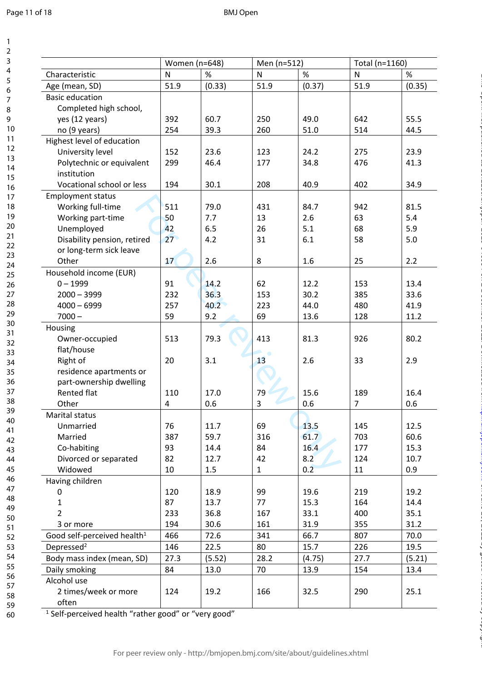$\mathbf{1}$ 

|                                                                          | Women (n=648)   |        | Men (n=512) |        | Total (n=1160) |        |
|--------------------------------------------------------------------------|-----------------|--------|-------------|--------|----------------|--------|
| Characteristic                                                           | ${\sf N}$       | %      | N           | %      | ${\sf N}$      | $\%$   |
| Age (mean, SD)                                                           | 51.9            | (0.33) | 51.9        | (0.37) | 51.9           | (0.35) |
| <b>Basic education</b>                                                   |                 |        |             |        |                |        |
| Completed high school,                                                   |                 |        |             |        |                |        |
| yes (12 years)                                                           | 392             | 60.7   | 250         | 49.0   | 642            | 55.5   |
| no (9 years)                                                             | 254             | 39.3   | 260         | 51.0   | 514            | 44.5   |
| Highest level of education                                               |                 |        |             |        |                |        |
| University level                                                         | 152             | 23.6   | 123         | 24.2   | 275            | 23.9   |
| Polytechnic or equivalent                                                | 299             | 46.4   | 177         | 34.8   | 476            | 41.3   |
| institution                                                              |                 |        |             |        |                |        |
| Vocational school or less                                                | 194             | 30.1   | 208         | 40.9   | 402            | 34.9   |
| <b>Employment status</b>                                                 |                 |        |             |        |                |        |
| Working full-time                                                        | 511             | 79.0   | 431         | 84.7   | 942            | 81.5   |
| Working part-time                                                        | 50              | 7.7    | 13          | 2.6    | 63             | 5.4    |
| Unemployed                                                               | 42              | 6.5    | 26          | 5.1    | 68             | 5.9    |
| Disability pension, retired                                              | 27 <sup>°</sup> | 4.2    | 31          | 6.1    | 58             | 5.0    |
| or long-term sick leave                                                  |                 |        |             |        |                |        |
| Other                                                                    | 17              | 2.6    | 8           | 1.6    | 25             | 2.2    |
| Household income (EUR)                                                   |                 |        |             |        |                |        |
| $0 - 1999$                                                               | 91              | 14.2   | 62          | 12.2   | 153            | 13.4   |
| $2000 - 3999$                                                            | 232             | 36.3   | 153         | 30.2   | 385            | 33.6   |
| $4000 - 6999$                                                            | 257             | 40.2   | 223         | 44.0   | 480            | 41.9   |
| $7000 -$                                                                 | 59              | 9.2    | 69          | 13.6   | 128            | 11.2   |
| Housing                                                                  |                 |        |             |        |                |        |
| Owner-occupied                                                           | 513             | 79.3   | 413         | 81.3   | 926            | 80.2   |
| flat/house                                                               |                 |        |             |        |                |        |
| Right of                                                                 | 20              | 3.1    | 13          | 2.6    | 33             | 2.9    |
| residence apartments or                                                  |                 |        |             |        |                |        |
| part-ownership dwelling                                                  |                 |        |             |        |                |        |
| <b>Rented flat</b>                                                       | 110             | 17.0   | 79          | 15.6   | 189            | 16.4   |
| Other                                                                    | 4               | 0.6    | 3           | 0.6    | 7              | 0.6    |
| Marital status                                                           |                 |        |             |        |                |        |
| Unmarried                                                                | 76              | 11.7   | 69          | 13.5   | 145            | 12.5   |
| Married                                                                  | 387             | 59.7   | 316         | 61.7   | 703            | 60.6   |
| Co-habiting                                                              | 93              | 14.4   | 84          | 16.4   | 177            | 15.3   |
| Divorced or separated                                                    | 82              | 12.7   | 42          | 8.2    | 124            | 10.7   |
| Widowed                                                                  | 10              | 1.5    | $1\,$       | 0.2    | 11             | 0.9    |
| Having children                                                          |                 |        |             |        |                |        |
| 0                                                                        | 120             | 18.9   | 99          | 19.6   | 219            | 19.2   |
| 1                                                                        | 87              | 13.7   | 77          | 15.3   | 164            | 14.4   |
| $\overline{2}$                                                           | 233             | 36.8   | 167         | 33.1   | 400            | 35.1   |
| 3 or more                                                                | 194             | 30.6   | 161         | 31.9   | 355            | 31.2   |
| Good self-perceived health <sup>1</sup>                                  | 466             | 72.6   | 341         | 66.7   | 807            | 70.0   |
| Depressed <sup>2</sup>                                                   |                 | 22.5   | 80          | 15.7   | 226            | 19.5   |
|                                                                          | 146             |        |             |        |                |        |
| Body mass index (mean, SD)                                               | 27.3            | (5.52) | 28.2        | (4.75) | 27.7           | (5.21) |
| Daily smoking                                                            | 84              | 13.0   | 70          | 13.9   | 154            | 13.4   |
| Alcohol use                                                              |                 |        |             |        |                |        |
| 2 times/week or more                                                     | 124             | 19.2   | 166         | 32.5   | 290            | 25.1   |
| often<br><sup>1</sup> Self-perceived health "rather good" or "very good" |                 |        |             |        |                |        |

on June 29, 2022 by guest. Protected by copyright. <http://bmjopen.bmj.com/> BMJ Open: first published as 10.1136/bmjopen-2020-046654 on 2 December 2021. Downloaded from

For peer review only - http://bmjopen.bmj.com/site/about/guidelines.xhtml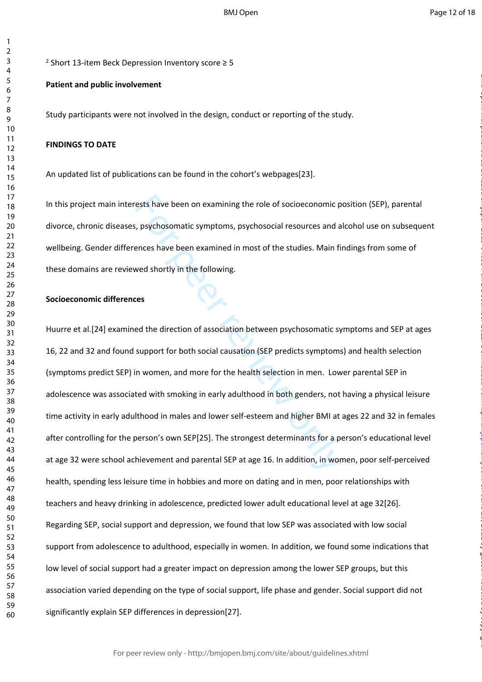$\mathbf{1}$  $\overline{2}$ 

<sup>2</sup> Short 13-item Beck Depression Inventory score ≥ 5

#### **Patient and public involvement**

Study participants were not involved in the design, conduct or reporting of the study.

#### **FINDINGS TO DATE**

An updated list of publications can be found in the cohort's webpages[23].

In this project main interests have been on examining the role of socioeconomic position (SEP), parental divorce, chronic diseases, psychosomatic symptoms, psychosocial resources and alcohol use on subsequent wellbeing. Gender differences have been examined in most of the studies. Main findings from some of these domains are reviewed shortly in the following.

#### **Socioeconomic differences**

ests have been on examining the role of socioeconomic p<br>i, psychosomatic symptoms, psychosocial resources and a<br>ences have been examined in most of the studies. Main fi<br>wed shortly in the following.<br><br>**escending**<br>ded the di Huurre et al.[24] examined the direction of association between psychosomatic symptoms and SEP at ages 16, 22 and 32 and found support for both social causation (SEP predicts symptoms) and health selection (symptoms predict SEP) in women, and more for the health selection in men. Lower parental SEP in adolescence was associated with smoking in early adulthood in both genders, not having a physical leisure time activity in early adulthood in males and lower self-esteem and higher BMI at ages 22 and 32 in females after controlling for the person's own SEP[25]. The strongest determinants for a person's educational level at age 32 were school achievement and parental SEP at age 16. In addition, in women, poor self-perceived health, spending less leisure time in hobbies and more on dating and in men, poor relationships with teachers and heavy drinking in adolescence, predicted lower adult educational level at age 32[26]. Regarding SEP, social support and depression, we found that low SEP was associated with low social support from adolescence to adulthood, especially in women. In addition, we found some indications that low level of social support had a greater impact on depression among the lower SEP groups, but this association varied depending on the type of social support, life phase and gender. Social support did not significantly explain SEP differences in depression[27].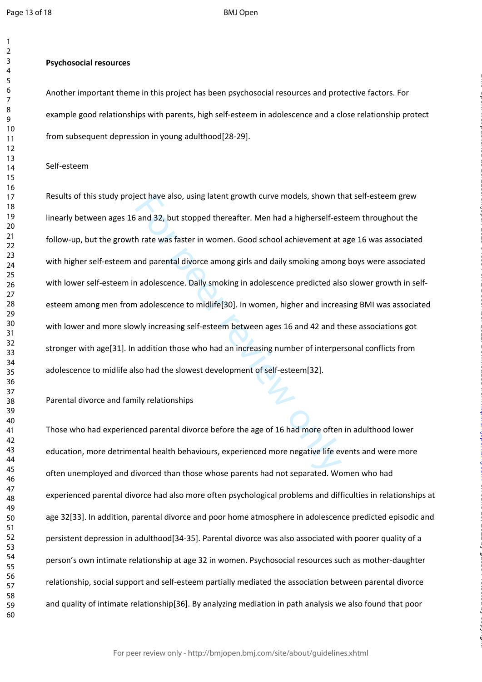$\mathbf{1}$ 

BMJ Open

#### **Psychosocial resources**

Another important theme in this project has been psychosocial resources and protective factors. For example good relationships with parents, high self-esteem in adolescence and a close relationship protect from subsequent depression in young adulthood[28-29].

#### Self-esteem

ect have also, using latent growth curve models, shown the and 32, but stopped thereafter. Men had a higherself-es<br>h rate was faster in women. Good school achievement at<br>and parental divorce among girls and daily smoking a Results of this study project have also, using latent growth curve models, shown that self-esteem grew linearly between ages 16 and 32, but stopped thereafter. Men had a higherself-esteem throughout the follow-up, but the growth rate was faster in women. Good school achievement at age 16 was associated with higher self-esteem and parental divorce among girls and daily smoking among boys were associated with lower self-esteem in adolescence. Daily smoking in adolescence predicted also slower growth in selfesteem among men from adolescence to midlife[30]. In women, higher and increasing BMI was associated with lower and more slowly increasing self-esteem between ages 16 and 42 and these associations got stronger with age[31]. In addition those who had an increasing number of interpersonal conflicts from adolescence to midlife also had the slowest development of self-esteem[32].

on June 29, 2022 by guest. Protected by copyright. <http://bmjopen.bmj.com/> BMJ Open: first published as 10.1136/bmjopen-2020-046654 on 2 December 2021. Downloaded from

#### Parental divorce and family relationships

Those who had experienced parental divorce before the age of 16 had more often in adulthood lower education, more detrimental health behaviours, experienced more negative life events and were more often unemployed and divorced than those whose parents had not separated. Women who had experienced parental divorce had also more often psychological problems and difficulties in relationships at age 32[33]. In addition, parental divorce and poor home atmosphere in adolescence predicted episodic and persistent depression in adulthood[34-35]. Parental divorce was also associated with poorer quality of a person's own intimate relationship at age 32 in women. Psychosocial resources such as mother-daughter relationship, social support and self-esteem partially mediated the association between parental divorce and quality of intimate relationship[36]. By analyzing mediation in path analysis we also found that poor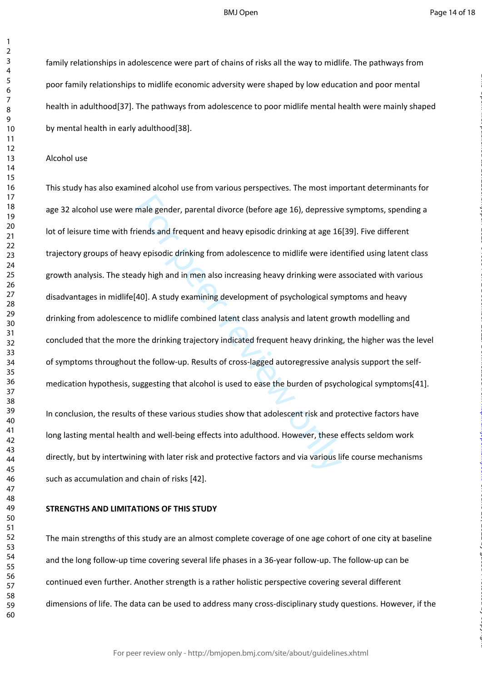family relationships in adolescence were part of chains of risks all the way to midlife. The pathways from poor family relationships to midlife economic adversity were shaped by low education and poor mental health in adulthood[37]. The pathways from adolescence to poor midlife mental health were mainly shaped by mental health in early adulthood[38].

#### Alcohol use

male gender, parental divorce (before age 16), depressive<br>iends and frequent and heavy episodic drinking at age 16<br>vy episodic drinking from adolescence to midlife were ide<br>dy high and in men also increasing heavy drinking This study has also examined alcohol use from various perspectives. The most important determinants for age 32 alcohol use were male gender, parental divorce (before age 16), depressive symptoms, spending a lot of leisure time with friends and frequent and heavy episodic drinking at age 16[39]. Five different trajectory groups of heavy episodic drinking from adolescence to midlife were identified using latent class growth analysis. The steady high and in men also increasing heavy drinking were associated with various disadvantages in midlife[40]. A study examining development of psychological symptoms and heavy drinking from adolescence to midlife combined latent class analysis and latent growth modelling and concluded that the more the drinking trajectory indicated frequent heavy drinking, the higher was the level of symptoms throughout the follow-up. Results of cross-lagged autoregressive analysis support the selfmedication hypothesis, suggesting that alcohol is used to ease the burden of psychological symptoms[41].

In conclusion, the results of these various studies show that adolescent risk and protective factors have long lasting mental health and well-being effects into adulthood. However, these effects seldom work directly, but by intertwining with later risk and protective factors and via various life course mechanisms such as accumulation and chain of risks [42].

#### **STRENGTHS AND LIMITATIONS OF THIS STUDY**

The main strengths of this study are an almost complete coverage of one age cohort of one city at baseline and the long follow-up time covering several life phases in a 36-year follow-up. The follow-up can be continued even further. Another strength is a rather holistic perspective covering several different dimensions of life. The data can be used to address many cross-disciplinary study questions. However, if the

For peer review only - http://bmjopen.bmj.com/site/about/guidelines.xhtml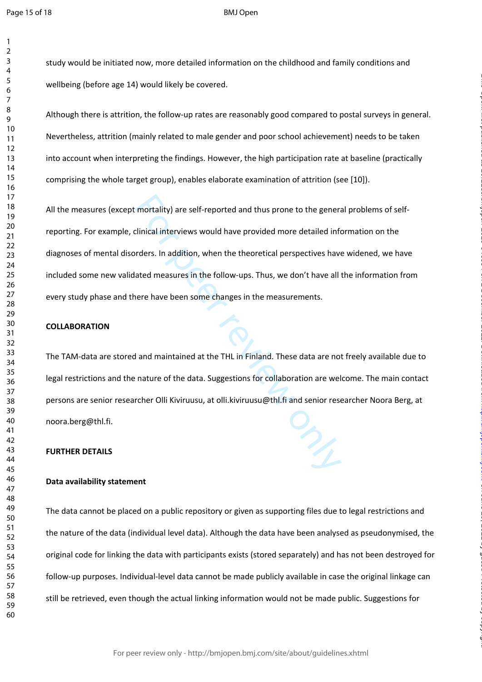$\mathbf{1}$ 

BMJ Open

study would be initiated now, more detailed information on the childhood and family conditions and wellbeing (before age 14) would likely be covered.

Although there is attrition, the follow-up rates are reasonably good compared to postal surveys in general. Nevertheless, attrition (mainly related to male gender and poor school achievement) needs to be taken into account when interpreting the findings. However, the high participation rate at baseline (practically comprising the whole target group), enables elaborate examination of attrition (see [10]).

mortality) are self-reported and thus prone to the general contractions in a self-reported and thus prone to the general contraction of the self-reported more detailed informations. In addition, when the theoretical perspe All the measures (except mortality) are self-reported and thus prone to the general problems of selfreporting. For example, clinical interviews would have provided more detailed information on the diagnoses of mental disorders. In addition, when the theoretical perspectives have widened, we have included some new validated measures in the follow-ups. Thus, we don't have all the information from every study phase and there have been some changes in the measurements.

#### **COLLABORATION**

The TAM-data are stored and maintained at the THL in Finland. These data are not freely available due to legal restrictions and the nature of the data. Suggestions for collaboration are welcome. The main contact persons are senior researcher Olli Kiviruusu, at olli.kiviruusu@thl.fi and senior researcher Noora Berg, at noora.berg@thl.fi.

on June 29, 2022 by guest. Protected by copyright. <http://bmjopen.bmj.com/> BMJ Open: first published as 10.1136/bmjopen-2020-046654 on 2 December 2021. Downloaded from

#### **FURTHER DETAILS**

#### **Data availability statement**

The data cannot be placed on a public repository or given as supporting files due to legal restrictions and the nature of the data (individual level data). Although the data have been analysed as pseudonymised, the original code for linking the data with participants exists (stored separately) and has not been destroyed for follow-up purposes. Individual-level data cannot be made publicly available in case the original linkage can still be retrieved, even though the actual linking information would not be made public. Suggestions for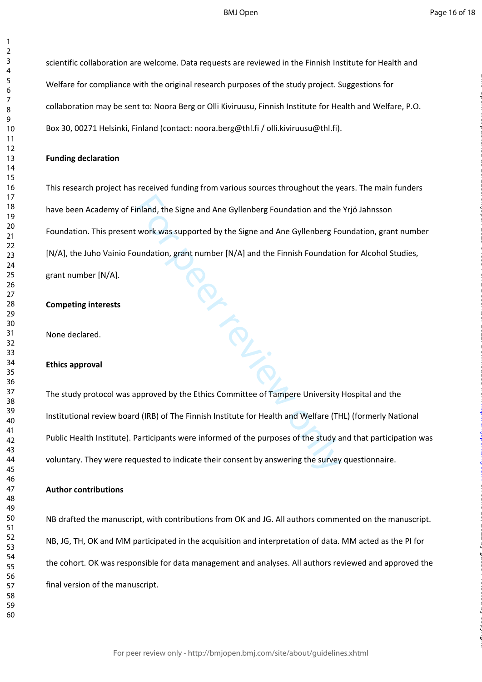scientific collaboration are welcome. Data requests are reviewed in the Finnish Institute for Health and Welfare for compliance with the original research purposes of the study project. Suggestions for collaboration may be sent to: Noora Berg or Olli Kiviruusu, Finnish Institute for Health and Welfare, P.O. Box 30, 00271 Helsinki, Finland (contact: noora.berg@thl.fi / olli.kiviruusu@thl.fi).

#### **Funding declaration**

France This research project has received funding from various sources throughout the years. The main funders have been Academy of Finland, the Signe and Ane Gyllenberg Foundation and the Yrjö Jahnsson Foundation. This present work was supported by the Signe and Ane Gyllenberg Foundation, grant number [N/A], the Juho Vainio Foundation, grant number [N/A] and the Finnish Foundation for Alcohol Studies, grant number [N/A].

#### **Competing interests**

None declared.

#### **Ethics approval**

The study protocol was approved by the Ethics Committee of Tampere University Hospital and the Institutional review board (IRB) of The Finnish Institute for Health and Welfare (THL) (formerly National Public Health Institute). Participants were informed of the purposes of the study and that participation was voluntary. They were requested to indicate their consent by answering the survey questionnaire.

#### **Author contributions**

NB drafted the manuscript, with contributions from OK and JG. All authors commented on the manuscript. NB, JG, TH, OK and MM participated in the acquisition and interpretation of data. MM acted as the PI for the cohort. OK was responsible for data management and analyses. All authors reviewed and approved the final version of the manuscript.

 $\mathbf{1}$  $\overline{2}$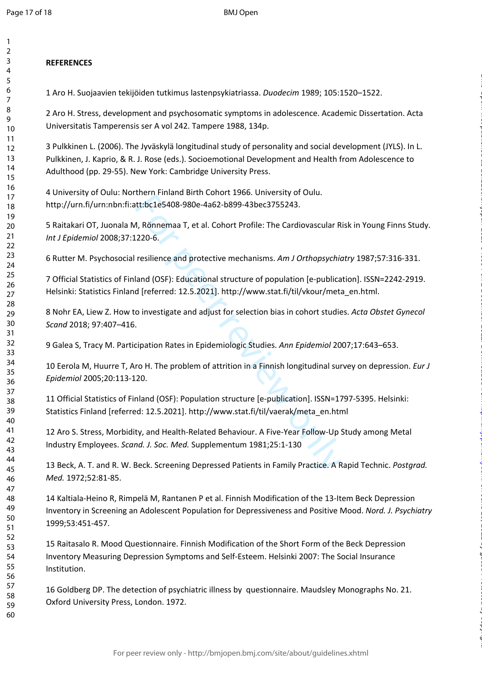$\mathbf{1}$  $\overline{2}$ 

#### 123456789  $\overline{3}$  $\overline{4}$ 5 6  $\overline{7}$ 8 9 10 11 12 13 14 15 16 17 18 19 20 21  $22$ 23 24 25 26 27 28 29 30 31 32 33 34 35 36 37 38 39 40 41 42 43 44 45 46 47 48 49 50 51 52 53 54 55 56 57 58 59 60

# **REFERENCES**

1 Aro H. Suojaavien tekijöiden tutkimus lastenpsykiatriassa. *Duodecim* 1989; 105:1520–1522.

2 Aro H. Stress, development and psychosomatic symptoms in adolescence. Academic Dissertation. Acta Universitatis Tamperensis ser A vol 242. Tampere 1988, 134p.

3 Pulkkinen L. (2006). The Jyväskylä longitudinal study of personality and social development (JYLS). In L. Pulkkinen, J. Kaprio, & R. J. Rose (eds.). Socioemotional Development and Health from Adolescence to Adulthood (pp. 29-55). New York: Cambridge University Press.

4 University of Oulu: Northern Finland Birth Cohort 1966. University of Oulu. http://urn.fi/urn:nbn:fi:att:bc1e5408-980e-4a62-b899-43bec3755243.

5 Raitakari OT, Juonala M, Rönnemaa T, et al. Cohort Profile: The Cardiovascular Risk in Young Finns Study. *Int J Epidemiol* 2008;37:1220-6.

6 Rutter M. Psychosocial resilience and protective mechanisms. *Am J Orthopsychiatry* 1987;57:316-331.

Intertmentale and contract the Carlin Practicles and Health Related Behaviour. A phone and protective mechanisms. Am J Orthopsychic and (OSF): Educational structure of population [e-publical deferred: 12.5.2021]. http://ww 7 Official Statistics of Finland (OSF): Educational structure of population [e-publication]. ISSN=2242-2919. Helsinki: Statistics Finland [referred: 12.5.2021]. http://www.stat.fi/til/vkour/meta\_en.html.

8 Nohr EA, Liew Z. How to investigate and adjust for selection bias in cohort studies. *Acta Obstet Gynecol Scand* 2018; 97:407–416.

9 Galea S, Tracy M. Participation Rates in Epidemiologic Studies. *Ann Epidemiol* 2007;17:643–653.

10 Eerola M, Huurre T, Aro H. The problem of attrition in a Finnish longitudinal survey on depression. *Eur J Epidemiol* 2005;20:113-120.

on June 29, 2022 by guest. Protected by copyright. <http://bmjopen.bmj.com/> BMJ Open: first published as 10.1136/bmjopen-2020-046654 on 2 December 2021. Downloaded from

11 Official Statistics of Finland (OSF): Population structure [e-publication]. ISSN=1797-5395. Helsinki: Statistics Finland [referred: 12.5.2021]. http://www.stat.fi/til/vaerak/meta\_en.html

12 Aro S. Stress, Morbidity, and Health-Related Behaviour. A Five-Year Follow-Up Study among Metal Industry Employees. *Scand. J. Soc. Med.* Supplementum 1981;25:1-130

13 Beck, A. T. and R. W. Beck. Screening Depressed Patients in Family Practice. A Rapid Technic. *Postgrad. Med.* 1972;52:81-85.

14 Kaltiala-Heino R, Rimpelä M, Rantanen P et al. Finnish Modification of the 13-Item Beck Depression Inventory in Screening an Adolescent Population for Depressiveness and Positive Mood. *Nord. J. Psychiatry* 1999;53:451-457.

15 Raitasalo R. Mood Questionnaire. Finnish Modification of the Short Form of the Beck Depression Inventory Measuring Depression Symptoms and Self-Esteem. Helsinki 2007: The Social Insurance Institution.

16 Goldberg DP. The detection of psychiatric illness by questionnaire. Maudsley Monographs No. 21. Oxford University Press, London. 1972.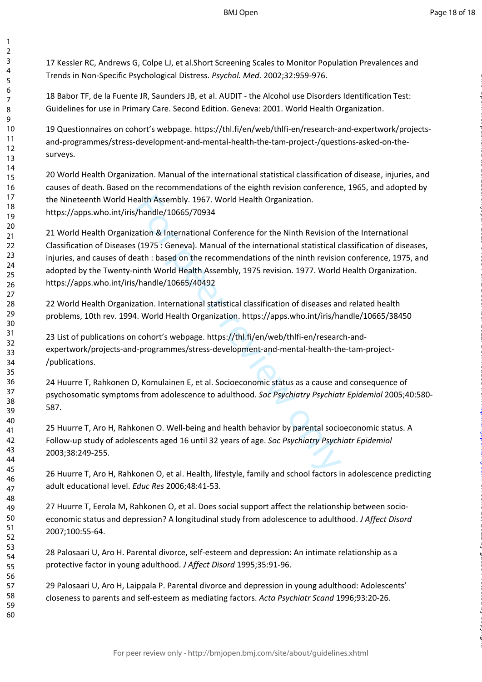17 Kessler RC, Andrews G, Colpe LJ, et al.Short Screening Scales to Monitor Population Prevalences and Trends in Non-Specific Psychological Distress. *Psychol. Med.* 2002;32:959-976.

123456789

 $\mathbf{1}$  $\overline{2}$  $\overline{3}$  $\overline{4}$ 5 6  $\overline{7}$ 8 9

18 Babor TF, de la Fuente JR, Saunders JB, et al. AUDIT - the Alcohol use Disorders Identification Test: Guidelines for use in Primary Care. Second Edition. Geneva: 2001. World Health Organization.

19 Questionnaires on cohort's webpage. https://thl.fi/en/web/thlfi-en/research-and-expertwork/projectsand-programmes/stress-development-and-mental-health-the-tam-project-/questions-asked-on-thesurveys.

20 World Health Organization. Manual of the international statistical classification of disease, injuries, and causes of death. Based on the recommendations of the eighth revision conference, 1965, and adopted by the Nineteenth World Health Assembly. 1967. World Health Organization. https://apps.who.int/iris/handle/10665/70934

ealth Assembly. 1967. World Health Organization.<br>
/handle/10665/70934<br>
ation & International Conference for the Ninth Revision o<br>
(1975 : Geneva). Manual of the international statistical c<br>
eath : based on the recommendati 21 World Health Organization & International Conference for the Ninth Revision of the International Classification of Diseases (1975 : Geneva). Manual of the international statistical classification of diseases, injuries, and causes of death : based on the recommendations of the ninth revision conference, 1975, and adopted by the Twenty-ninth World Health Assembly, 1975 revision. 1977. World Health Organization. https://apps.who.int/iris/handle/10665/40492

22 World Health Organization. International statistical classification of diseases and related health problems, 10th rev. 1994. World Health Organization. https://apps.who.int/iris/handle/10665/38450

23 List of publications on cohort's webpage. https://thl.fi/en/web/thlfi-en/research-andexpertwork/projects-and-programmes/stress-development-and-mental-health-the-tam-project- /publications.

24 Huurre T, Rahkonen O, Komulainen E, et al. Socioeconomic status as a cause and consequence of psychosomatic symptoms from adolescence to adulthood. *Soc Psychiatry Psychiatr Epidemiol* 2005;40:580- 587.

25 Huurre T, Aro H, Rahkonen O. Well-being and health behavior by parental socioeconomic status. A Follow-up study of adolescents aged 16 until 32 years of age. *Soc Psychiatry Psychiatr Epidemiol*  2003;38:249-255.

26 Huurre T, Aro H, Rahkonen O, et al. Health, lifestyle, family and school factors in adolescence predicting adult educational level. *Educ Res* 2006;48:41-53.

27 Huurre T, Eerola M, Rahkonen O, et al. Does social support affect the relationship between socioeconomic status and depression? A longitudinal study from adolescence to adulthood. *J Affect Disord* 2007;100:55-64.

28 Palosaari U, Aro H. Parental divorce, self-esteem and depression: An intimate relationship as a protective factor in young adulthood. *J Affect Disord* 1995;35:91-96.

29 Palosaari U, Aro H, Laippala P. Parental divorce and depression in young adulthood: Adolescents' closeness to parents and self-esteem as mediating factors. *Acta Psychiatr Scand* 1996;93:20-26.